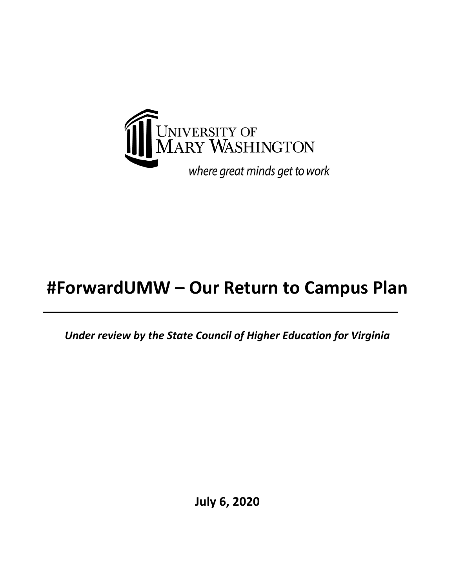

# **#ForwardUMW – Our Return to Campus Plan**

*Under review by the State Council of Higher Education for Virginia*

**July 6, 2020**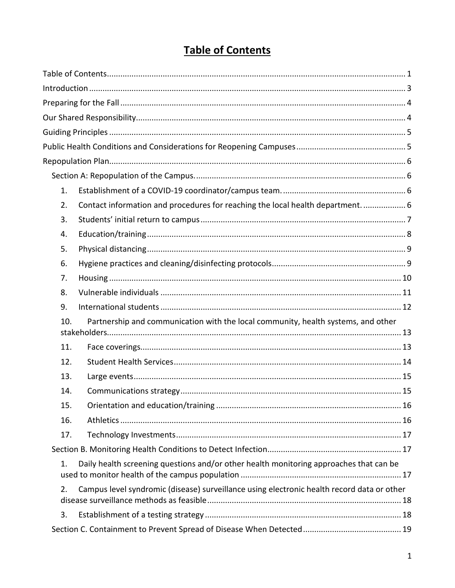## **Table of Contents**

<span id="page-1-0"></span>

| 1.  |                                                                                            |  |
|-----|--------------------------------------------------------------------------------------------|--|
| 2.  | Contact information and procedures for reaching the local health department 6              |  |
| 3.  |                                                                                            |  |
| 4.  |                                                                                            |  |
| 5.  |                                                                                            |  |
| 6.  |                                                                                            |  |
| 7.  |                                                                                            |  |
| 8.  |                                                                                            |  |
| 9.  |                                                                                            |  |
| 10. | Partnership and communication with the local community, health systems, and other          |  |
|     |                                                                                            |  |
| 11. |                                                                                            |  |
| 12. |                                                                                            |  |
| 13. |                                                                                            |  |
| 14. |                                                                                            |  |
| 15. |                                                                                            |  |
| 16. |                                                                                            |  |
| 17. |                                                                                            |  |
|     |                                                                                            |  |
| 1.  | Daily health screening questions and/or other health monitoring approaches that can be     |  |
| 2.  | Campus level syndromic (disease) surveillance using electronic health record data or other |  |
| 3.  |                                                                                            |  |
|     |                                                                                            |  |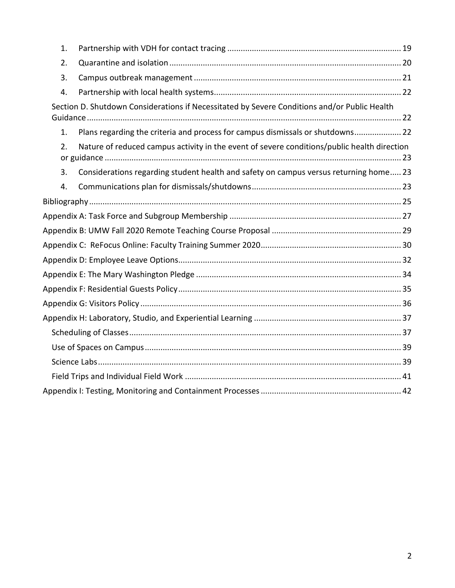| 1. |                                                                                              |  |
|----|----------------------------------------------------------------------------------------------|--|
| 2. |                                                                                              |  |
| 3. |                                                                                              |  |
| 4. |                                                                                              |  |
|    | Section D. Shutdown Considerations if Necessitated by Severe Conditions and/or Public Health |  |
| 1. | Plans regarding the criteria and process for campus dismissals or shutdowns 22               |  |
| 2. | Nature of reduced campus activity in the event of severe conditions/public health direction  |  |
| 3. | Considerations regarding student health and safety on campus versus returning home 23        |  |
| 4. |                                                                                              |  |
|    |                                                                                              |  |
|    |                                                                                              |  |
|    |                                                                                              |  |
|    |                                                                                              |  |
|    |                                                                                              |  |
|    |                                                                                              |  |
|    |                                                                                              |  |
|    |                                                                                              |  |
|    |                                                                                              |  |
|    |                                                                                              |  |
|    |                                                                                              |  |
|    |                                                                                              |  |
|    |                                                                                              |  |
|    |                                                                                              |  |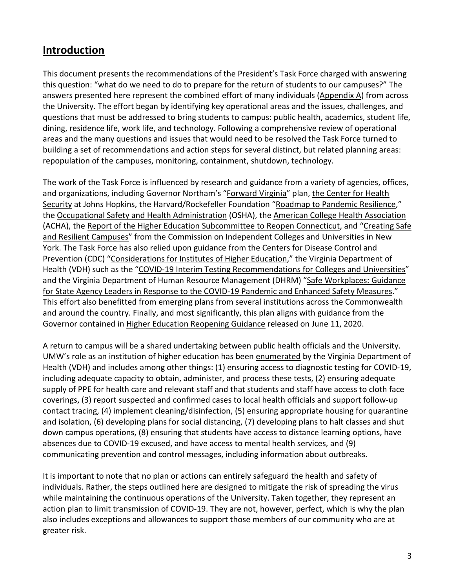## <span id="page-3-0"></span>**Introduction**

This document presents the recommendations of the President's Task Force charged with answering this question: "what do we need to do to prepare for the return of students to our campuses?" The answers presented here represent the combined effort of many individuals [\(Appendix A\)](#page-26-0) from across the University. The effort began by identifying key operational areas and the issues, challenges, and questions that must be addressed to bring students to campus: public health, academics, student life, dining, residence life, work life, and technology. Following a comprehensive review of operational areas and the many questions and issues that would need to be resolved the Task Force turned to building a set of recommendations and action steps for several distinct, but related planning areas: repopulation of the campuses, monitoring, containment, shutdown, technology.

The work of the Task Force is influenced by research and guidance from a variety of agencies, offices, and organizations, including Governor Northam's ["Forward Virginia"](https://www.governor.virginia.gov/media/governorvirginiagov/governor-of-virginia/pdf/Virginia-Forward-Phase-One-Business-Sector-Guidelines.pdf) plan, [the Center for Health](https://www.centerforhealthsecurity.org/our-work/pubs_archive/pubs-pdfs/2020/200417-reopening-guidance-governors.pdf)  [Security](https://www.centerforhealthsecurity.org/our-work/pubs_archive/pubs-pdfs/2020/200417-reopening-guidance-governors.pdf) at Johns Hopkins, the Harvard/Rockefeller Foundation ["Roadmap to Pandemic Resilience,](https://ethics.harvard.edu/Covid-Roadmap)" th[e Occupational Safety and Health Administration](https://www.osha.gov/Publications/OSHA3990.pdf) (OSHA), the [American College Health Association](https://www.acha.org/) (ACHA), the [Report of the Higher Education Subcommittee to Reopen Connecticut,](https://portal.ct.gov/-/media/Office-of-the-Governor/News/20200506-Recommendations-to-Governor-Lamont-for-a-phased-reopening-of-colleges-and-universities.pdf?la=en) and ["Creating Safe](https://cicu.org/application/files/1115/8981/5082/NY_State_-_Reopen_Considerations_and_Suggestions_for_Higher_Education_-_Final_May_15_2020_v2.pdf)  [and Resilient Campuses"](https://cicu.org/application/files/1115/8981/5082/NY_State_-_Reopen_Considerations_and_Suggestions_for_Higher_Education_-_Final_May_15_2020_v2.pdf) from the Commission on Independent Colleges and Universities in New York. The Task Force has also relied upon guidance from the Centers for Disease Control and Prevention (CDC) ["Considerations for Institutes of Higher Education,](https://www.cdc.gov/coronavirus/2019-ncov/community/colleges-universities/considerations.html)" the Virginia Department of Health (VDH) such as the ["COVID-19 Interim Testing Recommendations](https://www.vdh.virginia.gov/content/uploads/sites/182/2020/05/VDH-COVID-19-Testing-for-Colleges-and-Universities.pdf) for Colleges and Universities" and the Virginia Department of Human Resource Management (DHRM) "Safe Workplaces: Guidance [for State Agency Leaders in Response to the COVID-19 Pandemic and Enhanced Safety Measures.](https://www.dhrm.virginia.gov/docs/default-source/covid-19/cova-safe-workplace-guidance-leadership-final.pdf?sfvrsn=7de13760_6)" This effort also benefitted from emerging plans from several institutions across the Commonwealth and around the country. Finally, and most significantly, this plan aligns with guidance from the Governor contained in [Higher Education Reopening Guidance](https://www.governor.virginia.gov/media/governorvirginiagov/governor-of-virginia/pdf/Higher-Education-Reopening-Guidance.pdf) released on June 11, 2020.

A return to campus will be a shared undertaking between public health officials and the University. UMW's role as an institution of higher education has been [enumerated](https://www.vdh.virginia.gov/content/uploads/sites/182/2020/06/COVID-and-Public-Health-CollegesUniversities.pdf) by the Virginia Department of Health (VDH) and includes among other things: (1) ensuring access to diagnostic testing for COVID-19, including adequate capacity to obtain, administer, and process these tests, (2) ensuring adequate supply of PPE for health care and relevant staff and that students and staff have access to cloth face coverings, (3) report suspected and confirmed cases to local health officials and support follow-up contact tracing, (4) implement cleaning/disinfection, (5) ensuring appropriate housing for quarantine and isolation, (6) developing plans for social distancing, (7) developing plans to halt classes and shut down campus operations, (8) ensuring that students have access to distance learning options, have absences due to COVID-19 excused, and have access to mental health services, and (9) communicating prevention and control messages, including information about outbreaks.

It is important to note that no plan or actions can entirely safeguard the health and safety of individuals. Rather, the steps outlined here are designed to mitigate the risk of spreading the virus while maintaining the continuous operations of the University. Taken together, they represent an action plan to limit transmission of COVID-19. They are not, however, perfect, which is why the plan also includes exceptions and allowances to support those members of our community who are at greater risk.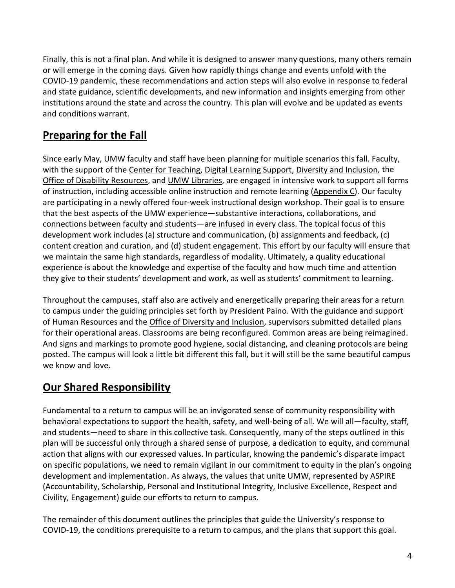Finally, this is not a final plan. And while it is designed to answer many questions, many others remain or will emerge in the coming days. Given how rapidly things change and events unfold with the COVID-19 pandemic, these recommendations and action steps will also evolve in response to federal and state guidance, scientific developments, and new information and insights emerging from other institutions around the state and across the country. This plan will evolve and be updated as events and conditions warrant.

## <span id="page-4-0"></span>**Preparing for the Fall**

Since early May, UMW faculty and staff have been planning for multiple scenarios this fall. Faculty, with the support of the [Center for Teaching,](https://academics.umw.edu/teach/) [Digital Learning Support,](https://academics.umw.edu/dls/) [Diversity and Inclusion,](https://www.umw.edu/diversity/) the [Office of Disability Resources,](https://academics.umw.edu/disability/) and [UMW Libraries,](https://libraries.umw.edu/) are engaged in intensive work to support all forms of instruction, including accessible online instruction and remote learning [\(Appendix C\)](#page-29-1). Our faculty are participating in a newly offered four-week instructional design workshop. Their goal is to ensure that the best aspects of the UMW experience—substantive interactions, collaborations, and connections between faculty and students—are infused in every class. The topical focus of this development work includes (a) structure and communication, (b) assignments and feedback, (c) content creation and curation, and (d) student engagement. This effort by our faculty will ensure that we maintain the same high standards, regardless of modality. Ultimately, a quality educational experience is about the knowledge and expertise of the faculty and how much time and attention they give to their students' development and work, as well as students' commitment to learning.

Throughout the campuses, staff also are actively and energetically preparing their areas for a return to campus under the guiding principles set forth by President Paino. With the guidance and support of Human Resources and the [Office of Diversity and Inclusion,](https://diversity.umw.edu/) supervisors submitted detailed plans for their operational areas. Classrooms are being reconfigured. Common areas are being reimagined. And signs and markings to promote good hygiene, social distancing, and cleaning protocols are being posted. The campus will look a little bit different this fall, but it will still be the same beautiful campus we know and love.

## <span id="page-4-1"></span>**Our Shared Responsibility**

Fundamental to a return to campus will be an invigorated sense of community responsibility with behavioral expectations to support the health, safety, and well-being of all. We will all—faculty, staff, and students—need to share in this collective task. Consequently, many of the steps outlined in this plan will be successful only through a shared sense of purpose, a dedication to equity, and communal action that aligns with our expressed values. In particular, knowing the pandemic's disparate impact on specific populations, we need to remain vigilant in our commitment to equity in the plan's ongoing development and implementation. As always, the values that unite UMW, represented by [ASPIRE](https://www.umw.edu/about/our-principles-and-values/) (Accountability, Scholarship, Personal and Institutional Integrity, Inclusive Excellence, Respect and Civility, Engagement) guide our efforts to return to campus.

The remainder of this document outlines the principles that guide the University's response to COVID-19, the conditions prerequisite to a return to campus, and the plans that support this goal.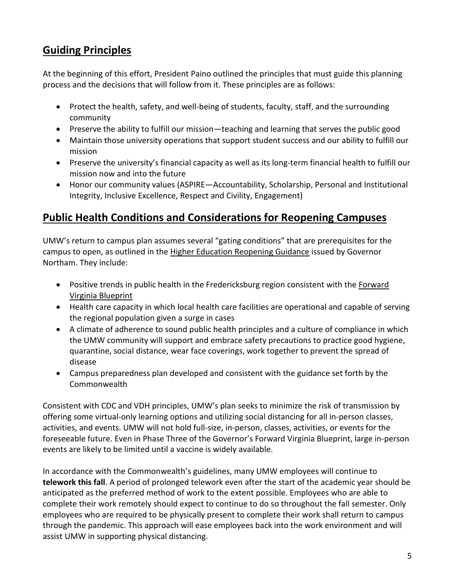## <span id="page-5-0"></span>**Guiding Principles**

At the beginning of this effort, President Paino outlined the principles that must guide this planning process and the decisions that will follow from it. These principles are as follows:

- Protect the health, safety, and well-being of students, faculty, staff, and the surrounding community
- Preserve the ability to fulfill our mission—teaching and learning that serves the public good
- Maintain those university operations that support student success and our ability to fulfill our mission
- Preserve the university's financial capacity as well as its long-term financial health to fulfill our mission now and into the future
- Honor our community values (ASPIRE—Accountability, Scholarship, Personal and Institutional Integrity, Inclusive Excellence, Respect and Civility, Engagement)

## <span id="page-5-1"></span>**Public Health Conditions and Considerations for Reopening Campuses**

UMW's return to campus plan assumes several "gating conditions" that are prerequisites for the campus to open, as outlined in the [Higher Education Reopening Guidance](https://www.governor.virginia.gov/media/governorvirginiagov/governor-of-virginia/pdf/Higher-Education-Reopening-Guidance.pdf) issued by Governor Northam. They include:

- Positive trends in public health in the Fredericksburg region consistent with the Forward [Virginia Blueprint](https://www.governor.virginia.gov/media/governorvirginiagov/governor-of-virginia/pdf/Forward-Virginia-Presentation-5.4.pdf)
- Health care capacity in which local health care facilities are operational and capable of serving the regional population given a surge in cases
- A climate of adherence to sound public health principles and a culture of compliance in which the UMW community will support and embrace safety precautions to practice good hygiene, quarantine, social distance, wear face coverings, work together to prevent the spread of disease
- Campus preparedness plan developed and consistent with the guidance set forth by the Commonwealth

Consistent with CDC and VDH principles, UMW's plan seeks to minimize the risk of transmission by offering some virtual-only learning options and utilizing social distancing for all in-person classes, activities, and events. UMW will not hold full-size, in-person, classes, activities, or events for the foreseeable future. Even in Phase Three of the Governor's Forward Virginia Blueprint, large in-person events are likely to be limited until a vaccine is widely available.

In accordance with the Commonwealth's guidelines, many UMW employees will continue to **telework this fall**. A period of prolonged telework even after the start of the academic year should be anticipated as the preferred method of work to the extent possible. Employees who are able to complete their work remotely should expect to continue to do so throughout the fall semester. Only employees who are required to be physically present to complete their work shall return to campus through the pandemic. This approach will ease employees back into the work environment and will assist UMW in supporting physical distancing.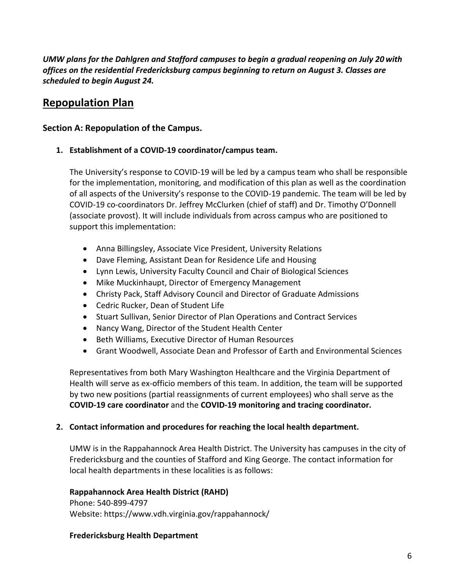*UMW plans for the Dahlgren and Stafford campuses to begin a gradual reopening on July 20 with offices on the residential Fredericksburg campus beginning to return on August 3. Classes are scheduled to begin August 24.* 

## <span id="page-6-0"></span>**Repopulation Plan**

## <span id="page-6-1"></span>**Section A: Repopulation of the Campus.**

<span id="page-6-2"></span>**1. Establishment of a COVID-19 coordinator/campus team.**

The University's response to COVID-19 will be led by a campus team who shall be responsible for the implementation, monitoring, and modification of this plan as well as the coordination of all aspects of the University's response to the COVID-19 pandemic. The team will be led by COVID-19 co-coordinators Dr. Jeffrey McClurken (chief of staff) and Dr. Timothy O'Donnell (associate provost). It will include individuals from across campus who are positioned to support this implementation:

- Anna Billingsley, Associate Vice President, University Relations
- Dave Fleming, Assistant Dean for Residence Life and Housing
- Lynn Lewis, University Faculty Council and Chair of Biological Sciences
- Mike Muckinhaupt, Director of Emergency Management
- Christy Pack, Staff Advisory Council and Director of Graduate Admissions
- Cedric Rucker, Dean of Student Life
- Stuart Sullivan, Senior Director of Plan Operations and Contract Services
- Nancy Wang, Director of the Student Health Center
- Beth Williams, Executive Director of Human Resources
- Grant Woodwell, Associate Dean and Professor of Earth and Environmental Sciences

Representatives from both Mary Washington Healthcare and the Virginia Department of Health will serve as ex-officio members of this team. In addition, the team will be supported by two new positions (partial reassignments of current employees) who shall serve as the **COVID-19 care coordinator** and the **COVID-19 monitoring and tracing coordinator.**

## <span id="page-6-3"></span>**2. Contact information and procedures for reaching the local health department.**

UMW is in the Rappahannock Area Health District. The University has campuses in the city of Fredericksburg and the counties of Stafford and King George. The contact information for local health departments in these localities is as follows:

## **Rappahannock Area Health District (RAHD)**

Phone: 540-899-4797 Website: https://www.vdh.virginia.gov/rappahannock/

## **Fredericksburg Health Department**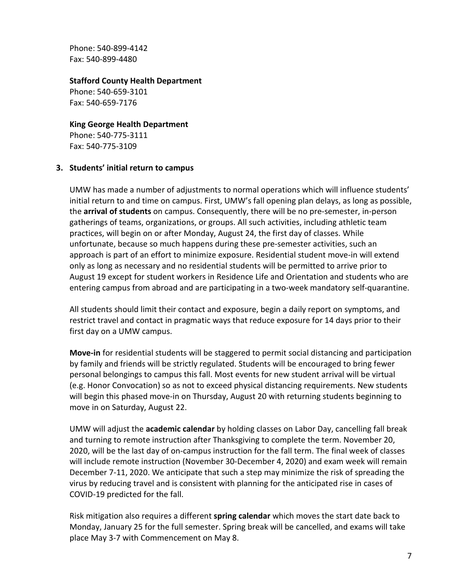Phone: 540-899-4142 Fax: 540-899-4480

#### **Stafford County Health Department**

Phone: 540-659-3101 Fax: 540-659-7176

#### **King George Health Department**

Phone: 540-775-3111 Fax: 540-775-3109

#### <span id="page-7-0"></span>**3. Students' initial return to campus**

UMW has made a number of adjustments to normal operations which will influence students' initial return to and time on campus. First, UMW's fall opening plan delays, as long as possible, the **arrival of students** on campus. Consequently, there will be no pre-semester, in-person gatherings of teams, organizations, or groups. All such activities, including athletic team practices, will begin on or after Monday, August 24, the first day of classes. While unfortunate, because so much happens during these pre-semester activities, such an approach is part of an effort to minimize exposure. Residential student move-in will extend only as long as necessary and no residential students will be permitted to arrive prior to August 19 except for student workers in Residence Life and Orientation and students who are entering campus from abroad and are participating in a two-week mandatory self-quarantine.

All students should limit their contact and exposure, begin a daily report on symptoms, and restrict travel and contact in pragmatic ways that reduce exposure for 14 days prior to their first day on a UMW campus.

**Move-in** for residential students will be staggered to permit social distancing and participation by family and friends will be strictly regulated. Students will be encouraged to bring fewer personal belongings to campus this fall. Most events for new student arrival will be virtual (e.g. Honor Convocation) so as not to exceed physical distancing requirements. New students will begin this phased move-in on Thursday, August 20 with returning students beginning to move in on Saturday, August 22.

UMW will adjust the **academic calendar** by holding classes on Labor Day, cancelling fall break and turning to remote instruction after Thanksgiving to complete the term. November 20, 2020, will be the last day of on-campus instruction for the fall term. The final week of classes will include remote instruction (November 30-December 4, 2020) and exam week will remain December 7-11, 2020. We anticipate that such a step may minimize the risk of spreading the virus by reducing travel and is consistent with planning for the anticipated rise in cases of COVID-19 predicted for the fall.

Risk mitigation also requires a different **spring calendar** which moves the start date back to Monday, January 25 for the full semester. Spring break will be cancelled, and exams will take place May 3-7 with Commencement on May 8.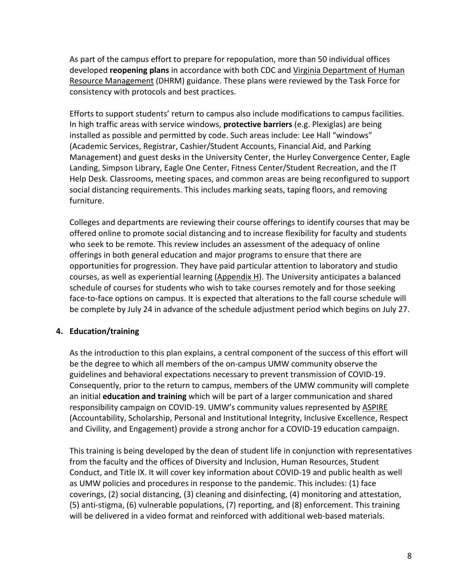As part of the campus effort to prepare for repopulation, more than 50 individual offices developed **reopening plans** in accordance with both CDC and [Virginia Department of Human](https://www.dhrm.virginia.gov/docs/default-source/covid-19/cova-safe-workplace-guidance-leadership-final.pdf?sfvrsn=7de13760_6)  [Resource Management](https://www.dhrm.virginia.gov/docs/default-source/covid-19/cova-safe-workplace-guidance-leadership-final.pdf?sfvrsn=7de13760_6) (DHRM) guidance. These plans were reviewed by the Task Force for consistency with protocols and best practices.

Efforts to support students' return to campus also include modifications to campus facilities. In high traffic areas with service windows, **protective barriers** (e.g. Plexiglas) are being installed as possible and permitted by code. Such areas include: Lee Hall "windows" (Academic Services, Registrar, Cashier/Student Accounts, Financial Aid, and Parking Management) and guest desks in the University Center, the Hurley Convergence Center, Eagle Landing, Simpson Library, Eagle One Center, Fitness Center/Student Recreation, and the IT Help Desk. Classrooms, meeting spaces, and common areas are being reconfigured to support social distancing requirements. This includes marking seats, taping floors, and removing furniture.

Colleges and departments are reviewing their course offerings to identify courses that may be offered online to promote social distancing and to increase flexibility for faculty and students who seek to be remote. This review includes an assessment of the adequacy of online offerings in both general education and major programs to ensure that there are opportunities for progression. They have paid particular attention to laboratory and studio courses, as well as experiential learning  $(Appendix H)$ . The University anticipates a balanced schedule of courses for students who wish to take courses remotely and for those seeking face-to-face options on campus. It is expected that alterations to the fall course schedule will be complete by July 24 in advance of the schedule adjustment period which begins on July 27.

## <span id="page-8-0"></span>**4. Education/training**

As the introduction to this plan explains, a central component of the success of this effort will be the degree to which all members of the on-campus UMW community observe the guidelines and behavioral expectations necessary to prevent transmission of COVID-19. Consequently, prior to the return to campus, members of the UMW community will complete an initial **education and training** which will be part of a larger communication and shared responsibility campaign on COVID-19. UMW's community values represented b[y ASPIRE](https://www.umw.edu/about/our-principles-and-values/) (Accountability, Scholarship, Personal and Institutional Integrity, Inclusive Excellence, Respect and Civility, and Engagement) provide a strong anchor for a COVID-19 education campaign.

This training is being developed by the dean of student life in conjunction with representatives from the faculty and the offices of Diversity and Inclusion, Human Resources, Student Conduct, and Title IX. It will cover key information about COVID-19 and public health as well as UMW policies and procedures in response to the pandemic. This includes: (1) face coverings, (2) social distancing, (3) cleaning and disinfecting, (4) monitoring and attestation, (5) anti-stigma, (6) vulnerable populations, (7) reporting, and (8) enforcement. This training will be delivered in a video format and reinforced with additional web-based materials.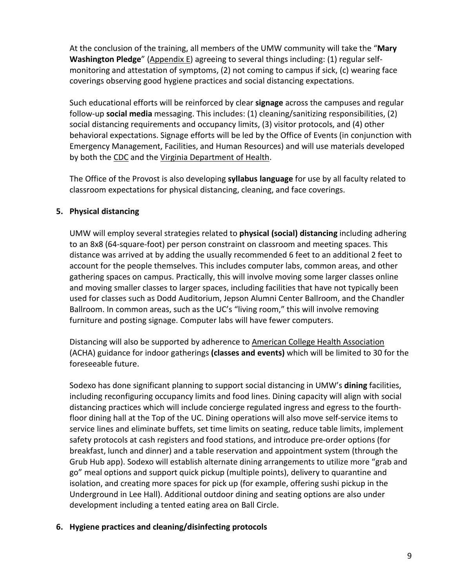At the conclusion of the training, all members of the UMW community will take the "**Mary Washington Pledge**" [\(Appendix E\)](#page-34-0) agreeing to several things including: (1) regular selfmonitoring and attestation of symptoms, (2) not coming to campus if sick, (c) wearing face coverings observing good hygiene practices and social distancing expectations.

Such educational efforts will be reinforced by clear **signage** across the campuses and regular follow-up **social media** messaging. This includes: (1) cleaning/sanitizing responsibilities, (2) social distancing requirements and occupancy limits, (3) visitor protocols, and (4) other behavioral expectations. Signage efforts will be led by the Office of Events (in conjunction with Emergency Management, Facilities, and Human Resources) and will use materials developed by both th[e CDC](https://www.cdc.gov/coronavirus/2019-ncov/communication/index.html) and th[e Virginia Department of Health.](https://www.vdh.virginia.gov/coronavirus/resources-and-support/)

The Office of the Provost is also developing **syllabus language** for use by all faculty related to classroom expectations for physical distancing, cleaning, and face coverings.

## <span id="page-9-0"></span>**5. Physical distancing**

UMW will employ several strategies related to **physical (social) distancing** including adhering to an 8x8 (64-square-foot) per person constraint on classroom and meeting spaces. This distance was arrived at by adding the usually recommended 6 feet to an additional 2 feet to account for the people themselves. This includes computer labs, common areas, and other gathering spaces on campus. Practically, this will involve moving some larger classes online and moving smaller classes to larger spaces, including facilities that have not typically been used for classes such as Dodd Auditorium, Jepson Alumni Center Ballroom, and the Chandler Ballroom. In common areas, such as the UC's "living room," this will involve removing furniture and posting signage. Computer labs will have fewer computers.

Distancing will also be supported by adherence to [American College Health Association](https://www.acha.org/) (ACHA) guidance for indoor gatherings **(classes and events)** which will be limited to 30 for the foreseeable future.

Sodexo has done significant planning to support social distancing in UMW's **dining** facilities, including reconfiguring occupancy limits and food lines. Dining capacity will align with social distancing practices which will include concierge regulated ingress and egress to the fourthfloor dining hall at the Top of the UC. Dining operations will also move self-service items to service lines and eliminate buffets, set time limits on seating, reduce table limits, implement safety protocols at cash registers and food stations, and introduce pre-order options (for breakfast, lunch and dinner) and a table reservation and appointment system (through the Grub Hub app). Sodexo will establish alternate dining arrangements to utilize more "grab and go" meal options and support quick pickup (multiple points), delivery to quarantine and isolation, and creating more spaces for pick up (for example, offering sushi pickup in the Underground in Lee Hall). Additional outdoor dining and seating options are also under development including a tented eating area on Ball Circle.

## <span id="page-9-1"></span>**6. Hygiene practices and cleaning/disinfecting protocols**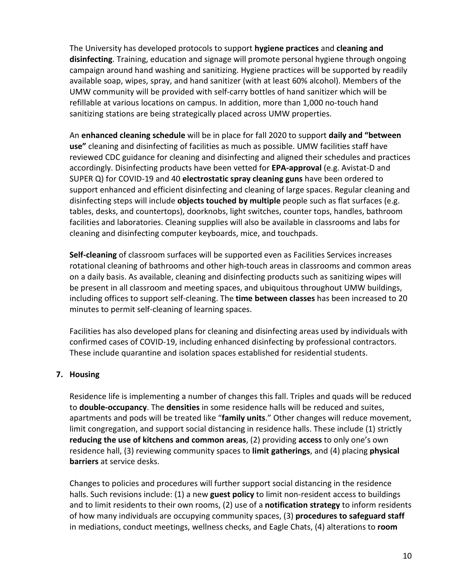The University has developed protocols to support **hygiene practices** and **cleaning and disinfecting**. Training, education and signage will promote personal hygiene through ongoing campaign around hand washing and sanitizing. Hygiene practices will be supported by readily available soap, wipes, spray, and hand sanitizer (with at least 60% alcohol). Members of the UMW community will be provided with self-carry bottles of hand sanitizer which will be refillable at various locations on campus. In addition, more than 1,000 no-touch hand sanitizing stations are being strategically placed across UMW properties.

An **enhanced cleaning schedule** will be in place for fall 2020 to support **daily and "between use"** cleaning and disinfecting of facilities as much as possible. UMW facilities staff have reviewed CDC guidance for cleaning and disinfecting and aligned their schedules and practices accordingly. Disinfecting products have been vetted for **EPA-approval** (e.g. Avistat-D and SUPER Q) for COVID-19 and 40 **electrostatic spray cleaning guns** have been ordered to support enhanced and efficient disinfecting and cleaning of large spaces. Regular cleaning and disinfecting steps will include **objects touched by multiple** people such as flat surfaces (e.g. tables, desks, and countertops), doorknobs, light switches, counter tops, handles, bathroom facilities and laboratories. Cleaning supplies will also be available in classrooms and labs for cleaning and disinfecting computer keyboards, mice, and touchpads.

**Self-cleaning** of classroom surfaces will be supported even as Facilities Services increases rotational cleaning of bathrooms and other high-touch areas in classrooms and common areas on a daily basis. As available, cleaning and disinfecting products such as sanitizing wipes will be present in all classroom and meeting spaces, and ubiquitous throughout UMW buildings, including offices to support self-cleaning. The **time between classes** has been increased to 20 minutes to permit self-cleaning of learning spaces.

Facilities has also developed plans for cleaning and disinfecting areas used by individuals with confirmed cases of COVID-19, including enhanced disinfecting by professional contractors. These include quarantine and isolation spaces established for residential students.

## <span id="page-10-0"></span>**7. Housing**

Residence life is implementing a number of changes this fall. Triples and quads will be reduced to **double-occupancy**. The **densities** in some residence halls will be reduced and suites, apartments and pods will be treated like "**family units**." Other changes will reduce movement, limit congregation, and support social distancing in residence halls. These include (1) strictly **reducing the use of kitchens and common areas**, (2) providing **access** to only one's own residence hall, (3) reviewing community spaces to **limit gatherings**, and (4) placing **physical barriers** at service desks.

Changes to policies and procedures will further support social distancing in the residence halls. Such revisions include: (1) a new **guest policy** to limit non-resident access to buildings and to limit residents to their own rooms, (2) use of a **notification strategy** to inform residents of how many individuals are occupying community spaces, (3) **procedures to safeguard staff**  in mediations, conduct meetings, wellness checks, and Eagle Chats, (4) alterations to **room**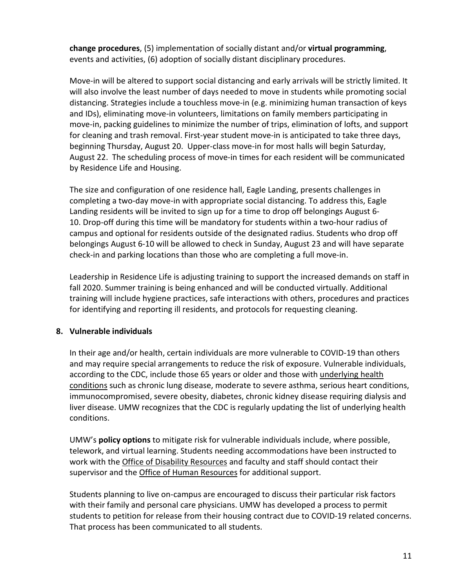**change procedures**, (5) implementation of socially distant and/or **virtual programming**, events and activities, (6) adoption of socially distant disciplinary procedures.

Move-in will be altered to support social distancing and early arrivals will be strictly limited. It will also involve the least number of days needed to move in students while promoting social distancing. Strategies include a touchless move-in (e.g. minimizing human transaction of keys and IDs), eliminating move-in volunteers, limitations on family members participating in move-in, packing guidelines to minimize the number of trips, elimination of lofts, and support for cleaning and trash removal. First-year student move-in is anticipated to take three days, beginning Thursday, August 20. Upper-class move-in for most halls will begin Saturday, August 22. The scheduling process of move-in times for each resident will be communicated by Residence Life and Housing.

The size and configuration of one residence hall, Eagle Landing, presents challenges in completing a two-day move-in with appropriate social distancing. To address this, Eagle Landing residents will be invited to sign up for a time to drop off belongings August 6- 10. Drop-off during this time will be mandatory for students within a two-hour radius of campus and optional for residents outside of the designated radius. Students who drop off belongings August 6-10 will be allowed to check in Sunday, August 23 and will have separate check-in and parking locations than those who are completing a full move-in.

Leadership in Residence Life is adjusting training to support the increased demands on staff in fall 2020. Summer training is being enhanced and will be conducted virtually. Additional training will include hygiene practices, safe interactions with others, procedures and practices for identifying and reporting ill residents, and protocols for requesting cleaning.

## <span id="page-11-0"></span>**8. Vulnerable individuals**

In their age and/or health, certain individuals are more vulnerable to COVID-19 than others and may require special arrangements to reduce the risk of exposure. Vulnerable individuals, according to the CDC, include those 65 years or older and those with underlying health [conditions](https://www.cdc.gov/coronavirus/2019-ncov/need-extra-precautions/people-with-medical-conditions.html?CDC_AA_refVal=https%3A%2F%2Fwww.cdc.gov%2Fcoronavirus%2F2019-ncov%2Fneed-extra-precautions%2Fgroups-at-higher-risk.html) such as chronic lung disease, moderate to severe asthma, serious heart conditions, immunocompromised, severe obesity, diabetes, chronic kidney disease requiring dialysis and liver disease. UMW recognizes that the CDC is regularly updating the list of underlying health conditions.

UMW's **policy options** to mitigate risk for vulnerable individuals include, where possible, telework, and virtual learning. Students needing accommodations have been instructed to work with the [Office of Disability Resources](https://academics.umw.edu/disability/) and faculty and staff should contact their supervisor and the [Office of Human Resources](https://adminfinance.umw.edu/hr/) for additional support.

Students planning to live on-campus are encouraged to discuss their particular risk factors with their family and personal care physicians. UMW has developed a process to permit students to petition for release from their housing contract due to COVID-19 related concerns. That process has been communicated to all students.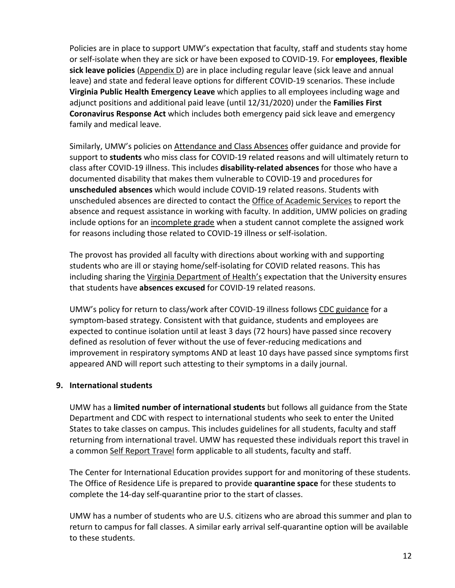Policies are in place to support UMW's expectation that faculty, staff and students stay home or self-isolate when they are sick or have been exposed to COVID-19. For **employees**, **flexible sick leave policies** [\(Appendix D\)](#page-32-0) are in place including regular leave (sick leave and annual leave) and state and federal leave options for different COVID-19 scenarios. These include **Virginia Public Health Emergency Leave** which applies to all employees including wage and adjunct positions and additional paid leave (until 12/31/2020) under the **Families First Coronavirus Response Act** which includes both emergency paid sick leave and emergency family and medical leave.

Similarly, UMW's policies on [Attendance and Class Absences](https://catalog.umw.edu/undergraduate/academic-policies/attendance-class-absences/) offer guidance and provide for support to **students** who miss class for COVID-19 related reasons and will ultimately return to class after COVID-19 illness. This includes **disability-related absences** for those who have a documented disability that makes them vulnerable to COVID-19 and procedures for **unscheduled absences** which would include COVID-19 related reasons. Students with unscheduled absences are directed to contact the [Office of Academic Services](https://academics.umw.edu/academicservices/) to report the absence and request assistance in working with faculty. In addition, UMW policies on grading include options for an [incomplete grade](https://catalog.umw.edu/undergraduate/academic-policies/incomplete-grades/) when a student cannot complete the assigned work for reasons including those related to COVID-19 illness or self-isolation.

The provost has provided all faculty with directions about working with and supporting students who are ill or staying home/self-isolating for COVID related reasons. This has including sharing the [Virginia Department of Health's](https://www.vdh.virginia.gov/content/uploads/sites/182/2020/06/COVID-and-Public-Health-CollegesUniversities.pdf) expectation that the University ensures that students have **absences excused** for COVID-19 related reasons.

UMW's policy for return to class/work after COVID-19 illness follows [CDC guidance](https://www.cdc.gov/coronavirus/2019-ncov/hcp/disposition-in-home-patients.html) for a symptom-based strategy. Consistent with that guidance, students and employees are expected to continue isolation until at least 3 days (72 hours) have passed since recovery defined as resolution of fever without the use of fever-reducing medications and improvement in respiratory symptoms AND at least 10 days have passed since symptoms first appeared AND will report such attesting to their symptoms in a daily journal.

## <span id="page-12-0"></span>**9. International students**

UMW has a **limited number of international students** but follows all guidance from the State Department and CDC with respect to international students who seek to enter the United States to take classes on campus. This includes guidelines for all students, faculty and staff returning from international travel. UMW has requested these individuals report this travel in a common [Self Report Travel](https://www.umw.edu/advisories/coronavirus/self-report-travel/) form applicable to all students, faculty and staff.

The Center for International Education provides support for and monitoring of these students. The Office of Residence Life is prepared to provide **quarantine space** for these students to complete the 14-day self-quarantine prior to the start of classes.

UMW has a number of students who are U.S. citizens who are abroad this summer and plan to return to campus for fall classes. A similar early arrival self-quarantine option will be available to these students.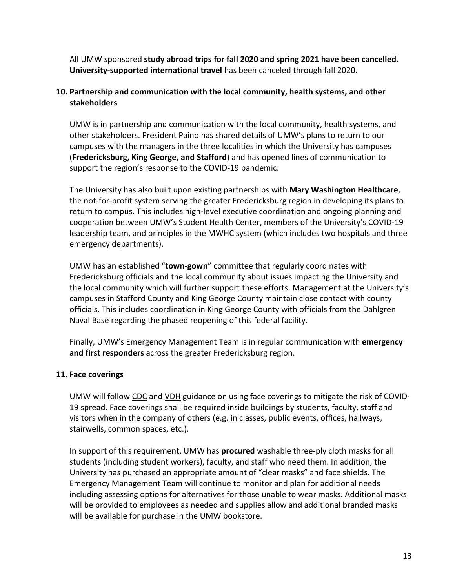All UMW sponsored **study abroad trips for fall 2020 and spring 2021 have been cancelled. University-supported international travel** has been canceled through fall 2020.

## <span id="page-13-0"></span>**10. Partnership and communication with the local community, health systems, and other stakeholders**

UMW is in partnership and communication with the local community, health systems, and other stakeholders. President Paino has shared details of UMW's plans to return to our campuses with the managers in the three localities in which the University has campuses (**Fredericksburg, King George, and Stafford**) and has opened lines of communication to support the region's response to the COVID-19 pandemic.

The University has also built upon existing partnerships with **Mary Washington Healthcare**, the not-for-profit system serving the greater Fredericksburg region in developing its plans to return to campus. This includes high-level executive coordination and ongoing planning and cooperation between UMW's Student Health Center, members of the University's COVID-19 leadership team, and principles in the MWHC system (which includes two hospitals and three emergency departments).

UMW has an established "**town-gown**" committee that regularly coordinates with Fredericksburg officials and the local community about issues impacting the University and the local community which will further support these efforts. Management at the University's campuses in Stafford County and King George County maintain close contact with county officials. This includes coordination in King George County with officials from the Dahlgren Naval Base regarding the phased reopening of this federal facility.

Finally, UMW's Emergency Management Team is in regular communication with **emergency and first responders** across the greater Fredericksburg region.

## <span id="page-13-1"></span>**11. Face coverings**

UMW will follo[w CDC](https://www.cdc.gov/coronavirus/2019-ncov/prevent-getting-sick/diy-cloth-face-coverings.html) and [VDH](https://www.vdh.virginia.gov/coronavirus/cloth-face-covers/) guidance on using face coverings to mitigate the risk of COVID-19 spread. Face coverings shall be required inside buildings by students, faculty, staff and visitors when in the company of others (e.g. in classes, public events, offices, hallways, stairwells, common spaces, etc.).

In support of this requirement, UMW has **procured** washable three-ply cloth masks for all students (including student workers), faculty, and staff who need them. In addition, the University has purchased an appropriate amount of "clear masks" and face shields. The Emergency Management Team will continue to monitor and plan for additional needs including assessing options for alternatives for those unable to wear masks. Additional masks will be provided to employees as needed and supplies allow and additional branded masks will be available for purchase in the UMW bookstore.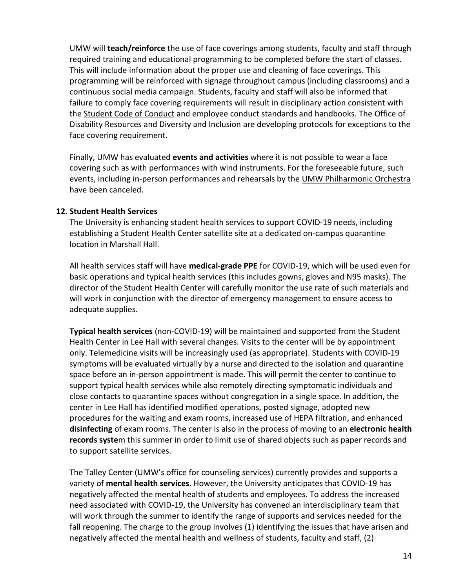UMW will **teach/reinforce** the use of face coverings among students, faculty and staff through required training and educational programming to be completed before the start of classes. This will include information about the proper use and cleaning of face coverings. This programming will be reinforced with signage throughout campus (including classrooms) and a continuous social media campaign. Students, faculty and staff will also be informed that failure to comply face covering requirements will result in disciplinary action consistent with th[e Student Code of Conduct](https://students.umw.edu/studentconduct/the-judicial-system/code-of-conduct/) and employee conduct standards and handbooks. The Office of Disability Resources and Diversity and Inclusion are developing protocols for exceptions to the face covering requirement.

Finally, UMW has evaluated **events and activities** where it is not possible to wear a face covering such as with performances with wind instruments. For the foreseeable future, such events, including in-person performances and rehearsals by the [UMW Philharmonic Orchestra](https://cas.umw.edu/music/umw-philharmonic-orchestra/) have been canceled.

#### <span id="page-14-0"></span>**12. Student Health Services**

The University is enhancing student health services to support COVID-19 needs, including establishing a Student Health Center satellite site at a dedicated on-campus quarantine location in Marshall Hall.

All health services staff will have **medical-grade PPE** for COVID-19, which will be used even for basic operations and typical health services (this includes gowns, gloves and N95 masks). The director of the Student Health Center will carefully monitor the use rate of such materials and will work in conjunction with the director of emergency management to ensure access to adequate supplies.

**Typical health services** (non-COVID-19) will be maintained and supported from the Student Health Center in Lee Hall with several changes. Visits to the center will be by appointment only. Telemedicine visits will be increasingly used (as appropriate). Students with COVID-19 symptoms will be evaluated virtually by a nurse and directed to the isolation and quarantine space before an in-person appointment is made. This will permit the center to continue to support typical health services while also remotely directing symptomatic individuals and close contacts to quarantine spaces without congregation in a single space. In addition, the center in Lee Hall has identified modified operations, posted signage, adopted new procedures for the waiting and exam rooms, increased use of HEPA filtration, and enhanced **disinfecting** of exam rooms. The center is also in the process of moving to an **electronic health records syste**m this summer in order to limit use of shared objects such as paper records and to support satellite services.

The Talley Center (UMW's office for counseling services) currently provides and supports a variety of **mental health services**. However, the University anticipates that COVID-19 has negatively affected the mental health of students and employees. To address the increased need associated with COVID-19, the University has convened an interdisciplinary team that will work through the summer to identify the range of supports and services needed for the fall reopening. The charge to the group involves (1) identifying the issues that have arisen and negatively affected the mental health and wellness of students, faculty and staff, (2)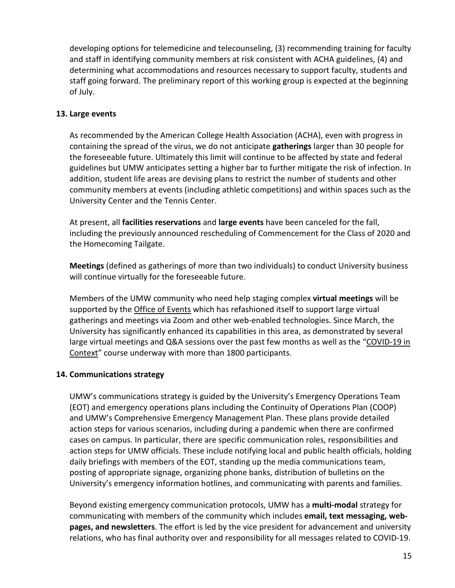developing options for telemedicine and telecounseling, (3) recommending training for faculty and staff in identifying community members at risk consistent with ACHA guidelines, (4) and determining what accommodations and resources necessary to support faculty, students and staff going forward. The preliminary report of this working group is expected at the beginning of July.

### <span id="page-15-0"></span>**13. Large events**

As recommended by the American College Health Association (ACHA), even with progress in containing the spread of the virus, we do not anticipate **gatherings** larger than 30 people for the foreseeable future. Ultimately this limit will continue to be affected by state and federal guidelines but UMW anticipates setting a higher bar to further mitigate the risk of infection. In addition, student life areas are devising plans to restrict the number of students and other community members at events (including athletic competitions) and within spaces such as the University Center and the Tennis Center.

At present, all **facilities reservations** and **large events** have been canceled for the fall, including the previously announced rescheduling of Commencement for the Class of 2020 and the Homecoming Tailgate.

**Meetings** (defined as gatherings of more than two individuals) to conduct University business will continue virtually for the foreseeable future.

Members of the UMW community who need help staging complex **virtual meetings** will be supported by the [Office of Events](https://president.umw.edu/events/) which has refashioned itself to support large virtual gatherings and meetings via Zoom and other web-enabled technologies. Since March, the University has significantly enhanced its capabilities in this area, as demonstrated by several large virtual meetings and Q&A sessions over the past few months as well as the ["COVID-19 in](https://universitybusiness.com/create-free-coronavirus-course-covid-19-course-everyone-5-weeks/)  [Context"](https://universitybusiness.com/create-free-coronavirus-course-covid-19-course-everyone-5-weeks/) course underway with more than 1800 participants.

## <span id="page-15-1"></span>**14. Communications strategy**

UMW's communications strategy is guided by the University's Emergency Operations Team (EOT) and emergency operations plans including the Continuity of Operations Plan (COOP) and UMW's Comprehensive Emergency Management Plan. These plans provide detailed action steps for various scenarios, including during a pandemic when there are confirmed cases on campus. In particular, there are specific communication roles, responsibilities and action steps for UMW officials. These include notifying local and public health officials, holding daily briefings with members of the EOT, standing up the media communications team, posting of appropriate signage, organizing phone banks, distribution of bulletins on the University's emergency information hotlines, and communicating with parents and families.

Beyond existing emergency communication protocols, UMW has a **multi-modal** strategy for communicating with members of the community which includes **email, text messaging, webpages, and newsletters**. The effort is led by the vice president for advancement and university relations, who has final authority over and responsibility for all messages related to COVID-19.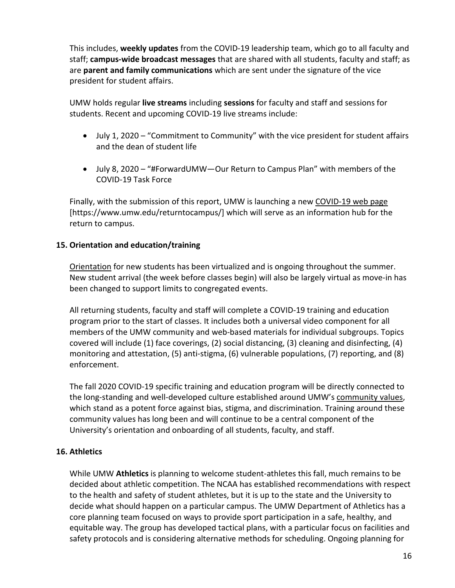This includes, **weekly updates** from the COVID-19 leadership team, which go to all faculty and staff; **campus-wide broadcast messages** that are shared with all students, faculty and staff; as are **parent and family communications** which are sent under the signature of the vice president for student affairs.

UMW holds regular **live streams** including **sessions** for faculty and staff and sessions for students. Recent and upcoming COVID-19 live streams include:

- July 1, 2020 "Commitment to Community" with the vice president for student affairs and the dean of student life
- July 8, 2020 "#ForwardUMW—Our Return to Campus Plan" with members of the COVID-19 Task Force

Finally, with the submission of this report, UMW is launching a new [COVID-19 web page](https://www.umw.edu/returntocampus/) [https://www.umw.edu/returntocampus/] which will serve as an information hub for the return to campus.

## <span id="page-16-0"></span>**15. Orientation and education/training**

[Orientation](https://orientation.umw.edu/about/) for new students has been virtualized and is ongoing throughout the summer. New student arrival (the week before classes begin) will also be largely virtual as move-in has been changed to support limits to congregated events.

All returning students, faculty and staff will complete a COVID-19 training and education program prior to the start of classes. It includes both a universal video component for all members of the UMW community and web-based materials for individual subgroups. Topics covered will include (1) face coverings, (2) social distancing, (3) cleaning and disinfecting, (4) monitoring and attestation, (5) anti-stigma, (6) vulnerable populations, (7) reporting, and (8) enforcement.

The fall 2020 COVID-19 specific training and education program will be directly connected to the long-standing and well-developed culture established around UMW's [community values,](https://www.umw.edu/about/our-principles-and-values/) which stand as a potent force against bias, stigma, and discrimination. Training around these community values has long been and will continue to be a central component of the University's orientation and onboarding of all students, faculty, and staff.

## <span id="page-16-1"></span>**16. Athletics**

While UMW **Athletics** is planning to welcome student-athletes this fall, much remains to be decided about athletic competition. The NCAA has established recommendations with respect to the health and safety of student athletes, but it is up to the state and the University to decide what should happen on a particular campus. The UMW Department of Athletics has a core planning team focused on ways to provide sport participation in a safe, healthy, and equitable way. The group has developed tactical plans, with a particular focus on facilities and safety protocols and is considering alternative methods for scheduling. Ongoing planning for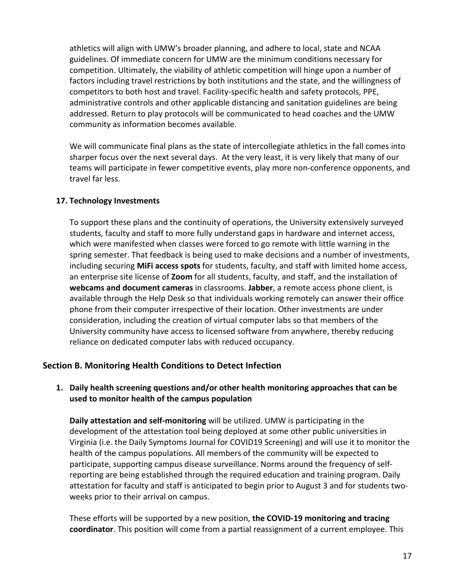athletics will align with UMW's broader planning, and adhere to local, state and NCAA guidelines. Of immediate concern for UMW are the minimum conditions necessary for competition. Ultimately, the viability of athletic competition will hinge upon a number of factors including travel restrictions by both institutions and the state, and the willingness of competitors to both host and travel. Facility-specific health and safety protocols, PPE, administrative controls and other applicable distancing and sanitation guidelines are being addressed. Return to play protocols will be communicated to head coaches and the UMW community as information becomes available.

We will communicate final plans as the state of intercollegiate athletics in the fall comes into sharper focus over the next several days. At the very least, it is very likely that many of our teams will participate in fewer competitive events, play more non-conference opponents, and travel far less.

## <span id="page-17-0"></span>**17. Technology Investments**

To support these plans and the continuity of operations, the University extensively surveyed students, faculty and staff to more fully understand gaps in hardware and internet access, which were manifested when classes were forced to go remote with little warning in the spring semester. That feedback is being used to make decisions and a number of investments, including securing **MiFi access spots** for students, faculty, and staff with limited home access, an enterprise site license of **Zoom** for all students, faculty, and staff, and the installation of **webcams and document cameras** in classrooms. **Jabber**, a remote access phone client, is available through the Help Desk so that individuals working remotely can answer their office phone from their computer irrespective of their location. Other investments are under consideration, including the creation of virtual computer labs so that members of the University community have access to licensed software from anywhere, thereby reducing reliance on dedicated computer labs with reduced occupancy.

## <span id="page-17-1"></span>**Section B. Monitoring Health Conditions to Detect Infection**

## <span id="page-17-2"></span>**1. Daily health screening questions and/or other health monitoring approaches that can be used to monitor health of the campus population**

**Daily attestation and self-monitoring** will be utilized. UMW is participating in the development of the attestation tool being deployed at some other public universities in Virginia (i.e. the Daily Symptoms Journal for COVID19 Screening) and will use it to monitor the health of the campus populations. All members of the community will be expected to participate, supporting campus disease surveillance. Norms around the frequency of selfreporting are being established through the required education and training program. Daily attestation for faculty and staff is anticipated to begin prior to August 3 and for students twoweeks prior to their arrival on campus.

These efforts will be supported by a new position, **the COVID-19 monitoring and tracing coordinator**. This position will come from a partial reassignment of a current employee. This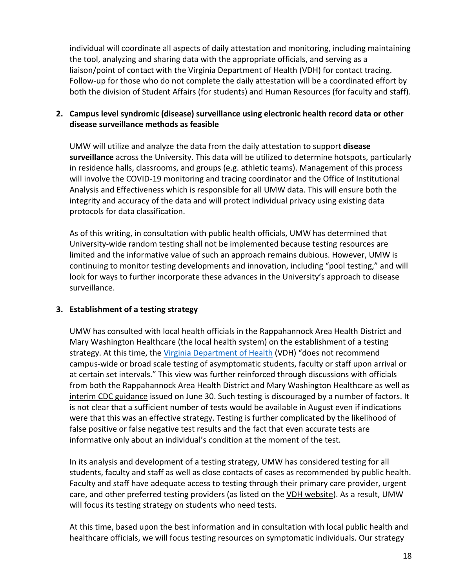individual will coordinate all aspects of daily attestation and monitoring, including maintaining the tool, analyzing and sharing data with the appropriate officials, and serving as a liaison/point of contact with the Virginia Department of Health (VDH) for contact tracing. Follow-up for those who do not complete the daily attestation will be a coordinated effort by both the division of Student Affairs (for students) and Human Resources (for faculty and staff).

## <span id="page-18-0"></span>**2. Campus level syndromic (disease) surveillance using electronic health record data or other disease surveillance methods as feasible**

UMW will utilize and analyze the data from the daily attestation to support **disease surveillance** across the University. This data will be utilized to determine hotspots, particularly in residence halls, classrooms, and groups (e.g. athletic teams). Management of this process will involve the COVID-19 monitoring and tracing coordinator and the Office of Institutional Analysis and Effectiveness which is responsible for all UMW data. This will ensure both the integrity and accuracy of the data and will protect individual privacy using existing data protocols for data classification.

As of this writing, in consultation with public health officials, UMW has determined that University-wide random testing shall not be implemented because testing resources are limited and the informative value of such an approach remains dubious. However, UMW is continuing to monitor testing developments and innovation, including "pool testing," and will look for ways to further incorporate these advances in the University's approach to disease surveillance.

## <span id="page-18-1"></span>**3. Establishment of a testing strategy**

UMW has consulted with local health officials in the Rappahannock Area Health District and Mary Washington Healthcare (the local health system) on the establishment of a testing strategy. At this time, the [Virginia Department of Health](https://www.vdh.virginia.gov/content/uploads/sites/182/2020/07/VDH-COVID-19-Testing-for-Colleges-and-Universities.pdf) (VDH) "does not recommend campus-wide or broad scale testing of asymptomatic students, faculty or staff upon arrival or at certain set intervals." This view was further reinforced through discussions with officials from both the Rappahannock Area Health District and Mary Washington Healthcare as well as [interim CDC guidance](https://www.cdc.gov/coronavirus/2019-ncov/community/colleges-universities/ihe-testing.html) issued on June 30. Such testing is discouraged by a number of factors. It is not clear that a sufficient number of tests would be available in August even if indications were that this was an effective strategy. Testing is further complicated by the likelihood of false positive or false negative test results and the fact that even accurate tests are informative only about an individual's condition at the moment of the test.

In its analysis and development of a testing strategy, UMW has considered testing for all students, faculty and staff as well as close contacts of cases as recommended by public health. Faculty and staff have adequate access to testing through their primary care provider, urgent care, and other preferred testing providers (as listed on th[e VDH website\)](https://www.vdh.virginia.gov/coronavirus/covid-19-testing/covid-19-testing-sites/). As a result, UMW will focus its testing strategy on students who need tests.

At this time, based upon the best information and in consultation with local public health and healthcare officials, we will focus testing resources on symptomatic individuals. Our strategy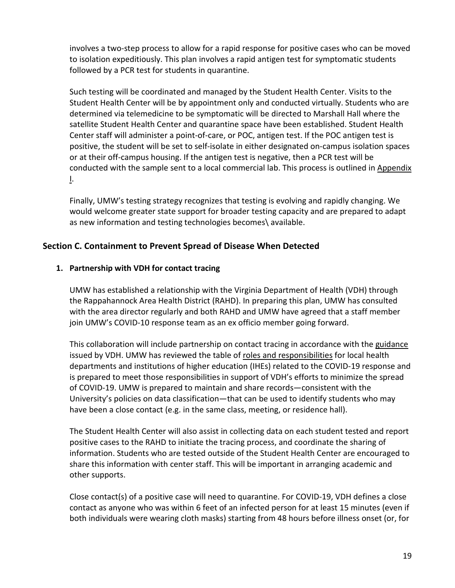involves a two-step process to allow for a rapid response for positive cases who can be moved to isolation expeditiously. This plan involves a rapid antigen test for symptomatic students followed by a PCR test for students in quarantine.

Such testing will be coordinated and managed by the Student Health Center. Visits to the Student Health Center will be by appointment only and conducted virtually. Students who are determined via telemedicine to be symptomatic will be directed to Marshall Hall where the satellite Student Health Center and quarantine space have been established. Student Health Center staff will administer a point-of-care, or POC, antigen test. If the POC antigen test is positive, the student will be set to self-isolate in either designated on-campus isolation spaces or at their off-campus housing. If the antigen test is negative, then a PCR test will be conducted with the sample sent to a local commercial lab. This process is outlined i[n Appendix](#page-41-1) [I.](#page-41-1)

Finally, UMW's testing strategy recognizes that testing is evolving and rapidly changing. We would welcome greater state support for broader testing capacity and are prepared to adapt as new information and testing technologies becomes\ available.

## <span id="page-19-0"></span>**Section C. Containment to Prevent Spread of Disease When Detected**

## <span id="page-19-1"></span>**1. Partnership with VDH for contact tracing**

UMW has established a relationship with the Virginia Department of Health (VDH) through the Rappahannock Area Health District (RAHD). In preparing this plan, UMW has consulted with the area director regularly and both RAHD and UMW have agreed that a staff member join UMW's COVID-10 response team as an ex officio member going forward.

This collaboration will include partnership on contact tracing in accordance with the [guidance](https://www.vdh.virginia.gov/content/uploads/sites/182/2020/06/VDH-IHE-and-Contact-Tracing_061720_final.pdf) issued by VDH. UMW has reviewed the table of [roles and responsibilities](https://www.vdh.virginia.gov/content/uploads/sites/182/2020/06/COVID-and-Public-Health-CollegesUniversities.pdf) for local health departments and institutions of higher education (IHEs) related to the COVID-19 response and is prepared to meet those responsibilities in support of VDH's efforts to minimize the spread of COVID-19. UMW is prepared to maintain and share records—consistent with the University's policies on data classification—that can be used to identify students who may have been a close contact (e.g. in the same class, meeting, or residence hall).

The Student Health Center will also assist in collecting data on each student tested and report positive cases to the RAHD to initiate the tracing process, and coordinate the sharing of information. Students who are tested outside of the Student Health Center are encouraged to share this information with center staff. This will be important in arranging academic and other supports.

Close contact(s) of a positive case will need to quarantine. For COVID-19, VDH defines a close contact as anyone who was within 6 feet of an infected person for at least 15 minutes (even if both individuals were wearing cloth masks) starting from 48 hours before illness onset (or, for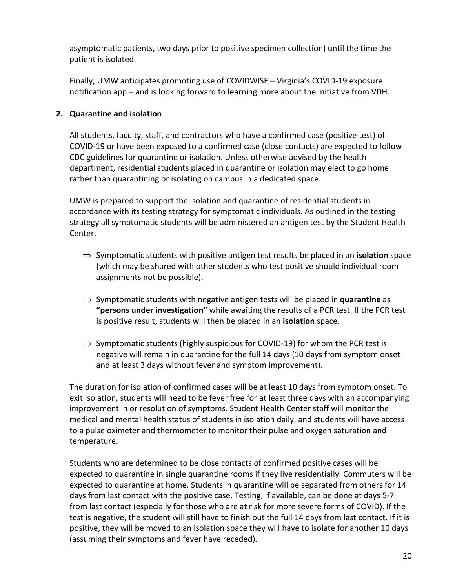asymptomatic patients, two days prior to positive specimen collection) until the time the patient is isolated.

Finally, UMW anticipates promoting use of COVIDWISE – Virginia's COVID-19 exposure notification app – and is looking forward to learning more about the initiative from VDH.

## <span id="page-20-0"></span>**2. Quarantine and isolation**

All students, faculty, staff, and contractors who have a confirmed case (positive test) of COVID-19 or have been exposed to a confirmed case (close contacts) are expected to follow CDC guidelines for quarantine or isolation. Unless otherwise advised by the health department, residential students placed in quarantine or isolation may elect to go home rather than quarantining or isolating on campus in a dedicated space.

UMW is prepared to support the isolation and quarantine of residential students in accordance with its testing strategy for symptomatic individuals. As outlined in the testing strategy all symptomatic students will be administered an antigen test by the Student Health Center.

- ⇒ Symptomatic students with positive antigen test results be placed in an **isolation** space (which may be shared with other students who test positive should individual room assignments not be possible).
- ⇒ Symptomatic students with negative antigen tests will be placed in **quarantine** as **"persons under investigation"** while awaiting the results of a PCR test. If the PCR test is positive result, students will then be placed in an **isolation** space.
- $\Rightarrow$  Symptomatic students (highly suspicious for COVID-19) for whom the PCR test is negative will remain in quarantine for the full 14 days (10 days from symptom onset and at least 3 days without fever and symptom improvement).

The duration for isolation of confirmed cases will be at least 10 days from symptom onset. To exit isolation, students will need to be fever free for at least three days with an accompanying improvement in or resolution of symptoms. Student Health Center staff will monitor the medical and mental health status of students in isolation daily, and students will have access to a pulse oximeter and thermometer to monitor their pulse and oxygen saturation and temperature.

Students who are determined to be close contacts of confirmed positive cases will be expected to quarantine in single quarantine rooms if they live residentially. Commuters will be expected to quarantine at home. Students in quarantine will be separated from others for 14 days from last contact with the positive case. Testing, if available, can be done at days 5-7 from last contact (especially for those who are at risk for more severe forms of COVID). If the test is negative, the student will still have to finish out the full 14 days from last contact. If it is positive, they will be moved to an isolation space they will have to isolate for another 10 days (assuming their symptoms and fever have receded).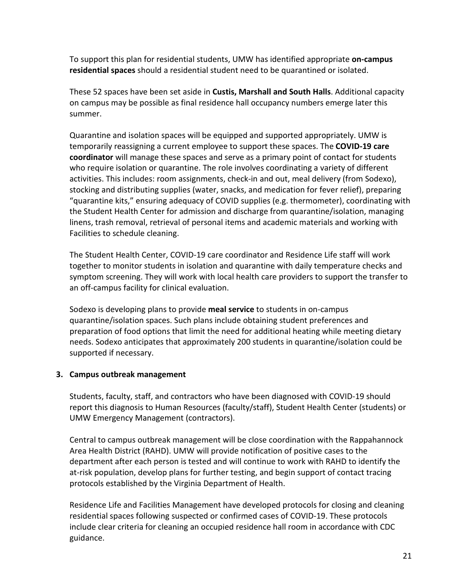To support this plan for residential students, UMW has identified appropriate **on-campus residential spaces** should a residential student need to be quarantined or isolated.

These 52 spaces have been set aside in **Custis, Marshall and South Halls**. Additional capacity on campus may be possible as final residence hall occupancy numbers emerge later this summer.

Quarantine and isolation spaces will be equipped and supported appropriately. UMW is temporarily reassigning a current employee to support these spaces. The **COVID-19 care coordinator** will manage these spaces and serve as a primary point of contact for students who require isolation or quarantine. The role involves coordinating a variety of different activities. This includes: room assignments, check-in and out, meal delivery (from Sodexo), stocking and distributing supplies (water, snacks, and medication for fever relief), preparing "quarantine kits," ensuring adequacy of COVID supplies (e.g. thermometer), coordinating with the Student Health Center for admission and discharge from quarantine/isolation, managing linens, trash removal, retrieval of personal items and academic materials and working with Facilities to schedule cleaning.

The Student Health Center, COVID-19 care coordinator and Residence Life staff will work together to monitor students in isolation and quarantine with daily temperature checks and symptom screening. They will work with local health care providers to support the transfer to an off-campus facility for clinical evaluation.

Sodexo is developing plans to provide **meal service** to students in on-campus quarantine/isolation spaces. Such plans include obtaining student preferences and preparation of food options that limit the need for additional heating while meeting dietary needs. Sodexo anticipates that approximately 200 students in quarantine/isolation could be supported if necessary.

#### <span id="page-21-0"></span>**3. Campus outbreak management**

Students, faculty, staff, and contractors who have been diagnosed with COVID-19 should report this diagnosis to Human Resources (faculty/staff), Student Health Center (students) or UMW Emergency Management (contractors).

Central to campus outbreak management will be close coordination with the Rappahannock Area Health District (RAHD). UMW will provide notification of positive cases to the department after each person is tested and will continue to work with RAHD to identify the at-risk population, develop plans for further testing, and begin support of contact tracing protocols established by the Virginia Department of Health.

Residence Life and Facilities Management have developed protocols for closing and cleaning residential spaces following suspected or confirmed cases of COVID-19. These protocols include clear criteria for cleaning an occupied residence hall room in accordance with CDC guidance.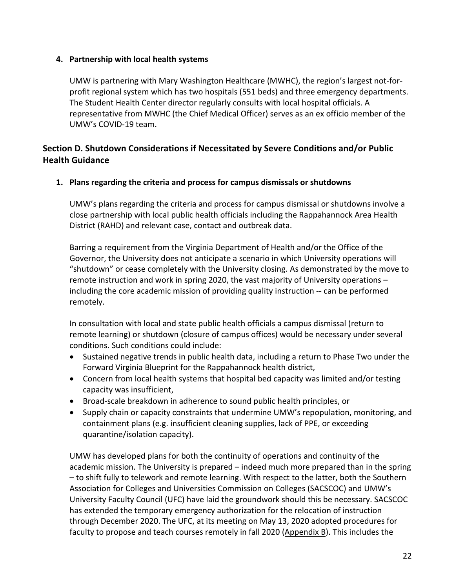## <span id="page-22-0"></span>**4. Partnership with local health systems**

UMW is partnering with Mary Washington Healthcare (MWHC), the region's largest not-forprofit regional system which has two hospitals (551 beds) and three emergency departments. The Student Health Center director regularly consults with local hospital officials. A representative from MWHC (the Chief Medical Officer) serves as an ex officio member of the UMW's COVID-19 team.

## <span id="page-22-1"></span>**Section D. Shutdown Considerations if Necessitated by Severe Conditions and/or Public Health Guidance**

<span id="page-22-2"></span>**1. Plans regarding the criteria and process for campus dismissals or shutdowns**

UMW's plans regarding the criteria and process for campus dismissal or shutdowns involve a close partnership with local public health officials including the Rappahannock Area Health District (RAHD) and relevant case, contact and outbreak data.

Barring a requirement from the Virginia Department of Health and/or the Office of the Governor, the University does not anticipate a scenario in which University operations will "shutdown" or cease completely with the University closing. As demonstrated by the move to remote instruction and work in spring 2020, the vast majority of University operations – including the core academic mission of providing quality instruction -- can be performed remotely.

In consultation with local and state public health officials a campus dismissal (return to remote learning) or shutdown (closure of campus offices) would be necessary under several conditions. Such conditions could include:

- Sustained negative trends in public health data, including a return to Phase Two under the Forward Virginia Blueprint for the Rappahannock health district,
- Concern from local health systems that hospital bed capacity was limited and/or testing capacity was insufficient,
- Broad-scale breakdown in adherence to sound public health principles, or
- Supply chain or capacity constraints that undermine UMW's repopulation, monitoring, and containment plans (e.g. insufficient cleaning supplies, lack of PPE, or exceeding quarantine/isolation capacity).

UMW has developed plans for both the continuity of operations and continuity of the academic mission. The University is prepared – indeed much more prepared than in the spring – to shift fully to telework and remote learning. With respect to the latter, both the Southern Association for Colleges and Universities Commission on Colleges (SACSCOC) and UMW's University Faculty Council (UFC) have laid the groundwork should this be necessary. SACSCOC has extended the temporary emergency authorization for the relocation of instruction through December 2020. The UFC, at its meeting on May 13, 2020 adopted procedures for faculty to propose and teach courses remotely in fall 2020 [\(Appendix B\)](#page-28-0). This includes the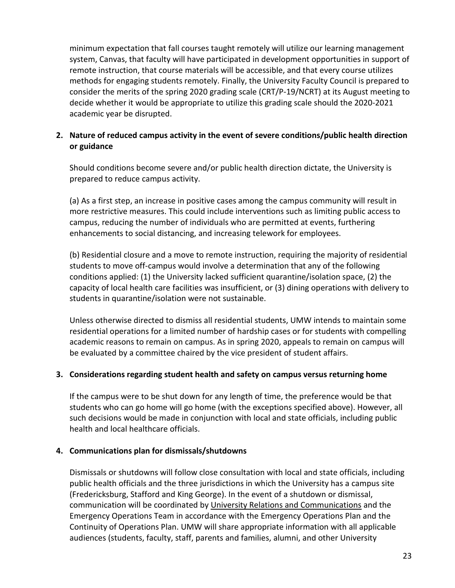minimum expectation that fall courses taught remotely will utilize our learning management system, Canvas, that faculty will have participated in development opportunities in support of remote instruction, that course materials will be accessible, and that every course utilizes methods for engaging students remotely. Finally, the University Faculty Council is prepared to consider the merits of the spring 2020 grading scale (CRT/P-19/NCRT) at its August meeting to decide whether it would be appropriate to utilize this grading scale should the 2020-2021 academic year be disrupted.

## <span id="page-23-0"></span>**2. Nature of reduced campus activity in the event of severe conditions/public health direction or guidance**

Should conditions become severe and/or public health direction dictate, the University is prepared to reduce campus activity.

(a) As a first step, an increase in positive cases among the campus community will result in more restrictive measures. This could include interventions such as limiting public access to campus, reducing the number of individuals who are permitted at events, furthering enhancements to social distancing, and increasing telework for employees.

(b) Residential closure and a move to remote instruction, requiring the majority of residential students to move off-campus would involve a determination that any of the following conditions applied: (1) the University lacked sufficient quarantine/isolation space, (2) the capacity of local health care facilities was insufficient, or (3) dining operations with delivery to students in quarantine/isolation were not sustainable.

Unless otherwise directed to dismiss all residential students, UMW intends to maintain some residential operations for a limited number of hardship cases or for students with compelling academic reasons to remain on campus. As in spring 2020, appeals to remain on campus will be evaluated by a committee chaired by the vice president of student affairs.

## <span id="page-23-1"></span>**3. Considerations regarding student health and safety on campus versus returning home**

If the campus were to be shut down for any length of time, the preference would be that students who can go home will go home (with the exceptions specified above). However, all such decisions would be made in conjunction with local and state officials, including public health and local healthcare officials.

## <span id="page-23-2"></span>**4. Communications plan for dismissals/shutdowns**

Dismissals or shutdowns will follow close consultation with local and state officials, including public health officials and the three jurisdictions in which the University has a campus site (Fredericksburg, Stafford and King George). In the event of a shutdown or dismissal, communication will be coordinated by [University Relations and Communications](https://advancement.umw.edu/universityrelations/) and the Emergency Operations Team in accordance with the Emergency Operations Plan and the Continuity of Operations Plan. UMW will share appropriate information with all applicable audiences (students, faculty, staff, parents and families, alumni, and other University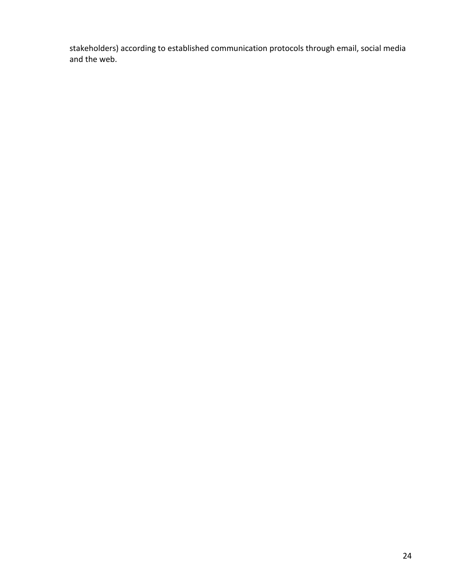stakeholders) according to established communication protocols through email, social media and the web.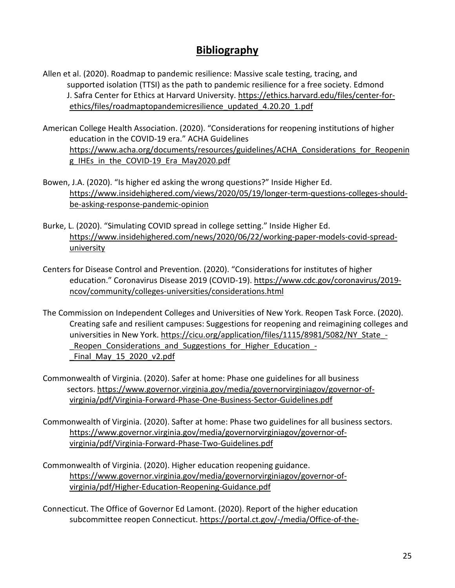## **Bibliography**

- <span id="page-25-0"></span>Allen et al. (2020). Roadmap to pandemic resilience: Massive scale testing, tracing, and supported isolation (TTSI) as the path to pandemic resilience for a free society. Edmond J. Safra Center for Ethics at Harvard University. [https://ethics.harvard.edu/files/center-for](https://ethics.harvard.edu/files/center-for-ethics/files/roadmaptopandemicresilience_updated_4.20.20_1.pdf)[ethics/files/roadmaptopandemicresilience\\_updated\\_4.20.20\\_1.pdf](https://ethics.harvard.edu/files/center-for-ethics/files/roadmaptopandemicresilience_updated_4.20.20_1.pdf)
- American College Health Association. (2020). "Considerations for reopening institutions of higher education in the COVID-19 era." ACHA Guidelines [https://www.acha.org/documents/resources/guidelines/ACHA\\_Considerations\\_for\\_Reopenin](https://www.acha.org/documents/resources/guidelines/ACHA_Considerations_for_Reopening_IHEs_in_the_COVID-19_Era_May2020.pdf) [g\\_IHEs\\_in\\_the\\_COVID-19\\_Era\\_May2020.pdf](https://www.acha.org/documents/resources/guidelines/ACHA_Considerations_for_Reopening_IHEs_in_the_COVID-19_Era_May2020.pdf)
- Bowen, J.A. (2020). "Is higher ed asking the wrong questions?" Inside Higher Ed. [https://www.insidehighered.com/views/2020/05/19/longer-term-questions-colleges-should](https://www.insidehighered.com/views/2020/05/19/longer-term-questions-colleges-should-be-asking-response-pandemic-opinion)[be-asking-response-pandemic-opinion](https://www.insidehighered.com/views/2020/05/19/longer-term-questions-colleges-should-be-asking-response-pandemic-opinion)
- Burke, L. (2020). "Simulating COVID spread in college setting." Inside Higher Ed. [https://www.insidehighered.com/news/2020/06/22/working-paper-models-covid-spread](https://www.insidehighered.com/news/2020/06/22/working-paper-models-covid-spread-university)[university](https://www.insidehighered.com/news/2020/06/22/working-paper-models-covid-spread-university)
- Centers for Disease Control and Prevention. (2020). "Considerations for institutes of higher education." Coronavirus Disease 2019 (COVID-19). [https://www.cdc.gov/coronavirus/2019](https://www.cdc.gov/coronavirus/2019-ncov/community/colleges-universities/considerations.html) [ncov/community/colleges-universities/considerations.html](https://www.cdc.gov/coronavirus/2019-ncov/community/colleges-universities/considerations.html)
- The Commission on Independent Colleges and Universities of New York. Reopen Task Force. (2020). Creating safe and resilient campuses: Suggestions for reopening and reimagining colleges and universities in New York. https://cicu.org/application/files/1115/8981/5082/NY\_State -Reopen Considerations and Suggestions for Higher Education -Final May 15 2020 v2.pdf
- Commonwealth of Virginia. (2020). Safer at home: Phase one guidelines for all business sectors. [https://www.governor.virginia.gov/media/governorvirginiagov/governor-of](https://www.governor.virginia.gov/media/governorvirginiagov/governor-of-virginia/pdf/Virginia-Forward-Phase-One-Business-Sector-Guidelines.pdf)[virginia/pdf/Virginia-Forward-Phase-One-Business-Sector-Guidelines.pdf](https://www.governor.virginia.gov/media/governorvirginiagov/governor-of-virginia/pdf/Virginia-Forward-Phase-One-Business-Sector-Guidelines.pdf)
- Commonwealth of Virginia. (2020). Safter at home: Phase two guidelines for all business sectors. [https://www.governor.virginia.gov/media/governorvirginiagov/governor-of](https://www.governor.virginia.gov/media/governorvirginiagov/governor-of-virginia/pdf/Virginia-Forward-Phase-Two-Guidelines.pdf)[virginia/pdf/Virginia-Forward-Phase-Two-Guidelines.pdf](https://www.governor.virginia.gov/media/governorvirginiagov/governor-of-virginia/pdf/Virginia-Forward-Phase-Two-Guidelines.pdf)
- Commonwealth of Virginia. (2020). Higher education reopening guidance. [https://www.governor.virginia.gov/media/governorvirginiagov/governor-of](https://www.governor.virginia.gov/media/governorvirginiagov/governor-of-virginia/pdf/Higher-Education-Reopening-Guidance.pdf)[virginia/pdf/Higher-Education-Reopening-Guidance.pdf](https://www.governor.virginia.gov/media/governorvirginiagov/governor-of-virginia/pdf/Higher-Education-Reopening-Guidance.pdf)
- Connecticut. The Office of Governor Ed Lamont. (2020). Report of the higher education subcommittee reopen Connecticut. [https://portal.ct.gov/-/media/Office-of-the-](https://portal.ct.gov/-/media/Office-of-the-Governor/News/20200506-Recommendations-to-Governor-Lamont-for-a-phased-reopening-of-colleges-and-universities.pdf?la=en)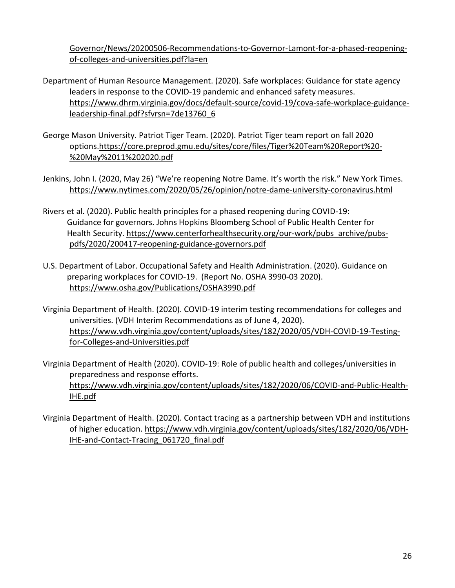[Governor/News/20200506-Recommendations-to-Governor-Lamont-for-a-phased-reopening](https://portal.ct.gov/-/media/Office-of-the-Governor/News/20200506-Recommendations-to-Governor-Lamont-for-a-phased-reopening-of-colleges-and-universities.pdf?la=en)[of-colleges-and-universities.pdf?la=en](https://portal.ct.gov/-/media/Office-of-the-Governor/News/20200506-Recommendations-to-Governor-Lamont-for-a-phased-reopening-of-colleges-and-universities.pdf?la=en)

- Department of Human Resource Management. (2020). Safe workplaces: Guidance for state agency leaders in response to the COVID-19 pandemic and enhanced safety measures. [https://www.dhrm.virginia.gov/docs/default-source/covid-19/cova-safe-workplace-guidance](https://www.dhrm.virginia.gov/docs/default-source/covid-19/cova-safe-workplace-guidance-leadership-final.pdf?sfvrsn=7de13760_6)[leadership-final.pdf?sfvrsn=7de13760\\_6](https://www.dhrm.virginia.gov/docs/default-source/covid-19/cova-safe-workplace-guidance-leadership-final.pdf?sfvrsn=7de13760_6)
- George Mason University. Patriot Tiger Team. (2020). Patriot Tiger team report on fall 2020 options[.https://core.preprod.gmu.edu/sites/core/files/Tiger%20Team%20Report%20-](https://core.preprod.gmu.edu/sites/core/files/Tiger%20Team%20Report%20-%20May%2011%202020.pdf) [%20May%2011%202020.pdf](https://core.preprod.gmu.edu/sites/core/files/Tiger%20Team%20Report%20-%20May%2011%202020.pdf)
- Jenkins, John I. (2020, May 26) "We're reopening Notre Dame. It's worth the risk." New York Times. <https://www.nytimes.com/2020/05/26/opinion/notre-dame-university-coronavirus.html>
- Rivers et al. (2020). Public health principles for a phased reopening during COVID-19: Guidance for governors. Johns Hopkins Bloomberg School of Public Health Center for Health Security. https://www.centerforhealthsecurity.org/our-work/pubs archive/pubs[pdfs/2020/200417-reopening-guidance-governors.pdf](https://www.centerforhealthsecurity.org/our-work/pubs_archive/pubs-pdfs/2020/200417-reopening-guidance-governors.pdf)
- U.S. Department of Labor. Occupational Safety and Health Administration. (2020). Guidance on preparing workplaces for COVID-19. (Report No. OSHA 3990-03 2020). <https://www.osha.gov/Publications/OSHA3990.pdf>
- Virginia Department of Health. (2020). COVID-19 interim testing recommendations for colleges and universities. (VDH Interim Recommendations as of June 4, 2020). [https://www.vdh.virginia.gov/content/uploads/sites/182/2020/05/VDH-COVID-19-Testing](https://www.vdh.virginia.gov/content/uploads/sites/182/2020/05/VDH-COVID-19-Testing-for-Colleges-and-Universities.pdf)[for-Colleges-and-Universities.pdf](https://www.vdh.virginia.gov/content/uploads/sites/182/2020/05/VDH-COVID-19-Testing-for-Colleges-and-Universities.pdf)
- Virginia Department of Health (2020). COVID-19: Role of public health and colleges/universities in preparedness and response efforts. [https://www.vdh.virginia.gov/content/uploads/sites/182/2020/06/COVID-and-Public-Health-](https://www.vdh.virginia.gov/content/uploads/sites/182/2020/06/COVID-and-Public-Health-IHE.pdf)[IHE.pdf](https://www.vdh.virginia.gov/content/uploads/sites/182/2020/06/COVID-and-Public-Health-IHE.pdf)
- <span id="page-26-0"></span>Virginia Department of Health. (2020). Contact tracing as a partnership between VDH and institutions of higher education[. https://www.vdh.virginia.gov/content/uploads/sites/182/2020/06/VDH-](https://www.vdh.virginia.gov/content/uploads/sites/182/2020/06/VDH-IHE-and-Contact-Tracing_061720_final.pdf)[IHE-and-Contact-Tracing\\_061720\\_final.pdf](https://www.vdh.virginia.gov/content/uploads/sites/182/2020/06/VDH-IHE-and-Contact-Tracing_061720_final.pdf)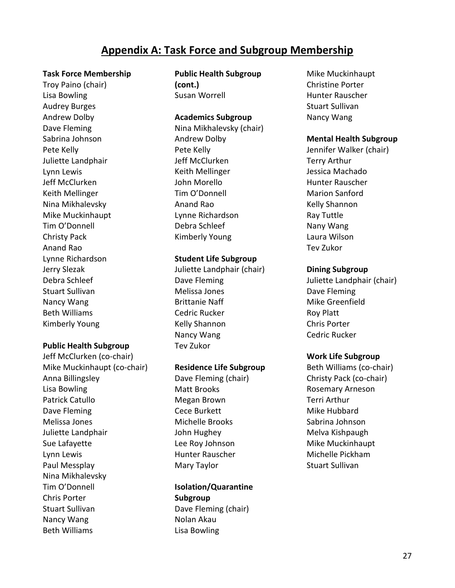## **Appendix A: Task Force and Subgroup Membership**

#### <span id="page-27-0"></span>**Task Force Membership**

Troy Paino (chair) Lisa Bowling Audrey Burges Andrew Dolby Dave Fleming Sabrina Johnson Pete Kelly Juliette Landphair Lynn Lewis Jeff McClurken Keith Mellinger Nina Mikhalevsky Mike Muckinhaupt Tim O'Donnell Christy Pack Anand Rao Lynne Richardson Jerry Slezak Debra Schleef Stuart Sullivan Nancy Wang Beth Williams Kimberly Young

#### **Public Health Subgroup**

Jeff McClurken (co-chair) Mike Muckinhaupt (co-chair) Anna Billingsley Lisa Bowling Patrick Catullo Dave Fleming Melissa Jones Juliette Landphair Sue Lafayette Lynn Lewis Paul Messplay Nina Mikhalevsky Tim O'Donnell Chris Porter Stuart Sullivan Nancy Wang Beth Williams

**Public Health Subgroup (cont.)** Susan Worrell

#### **Academics Subgroup**

Nina Mikhalevsky (chair) Andrew Dolby Pete Kelly Jeff McClurken Keith Mellinger John Morello Tim O'Donnell Anand Rao Lynne Richardson Debra Schleef Kimberly Young

#### **Student Life Subgroup**

Juliette Landphair (chair) Dave Fleming Melissa Jones Brittanie Naff Cedric Rucker Kelly Shannon Nancy Wang Tev Zukor

#### **Residence Life Subgroup**

Dave Fleming (chair) Matt Brooks Megan Brown Cece Burkett Michelle Brooks John Hughey Lee Roy Johnson Hunter Rauscher Mary Taylor

**Isolation/Quarantine Subgroup** Dave Fleming (chair) Nolan Akau Lisa Bowling

Mike Muckinhaupt Christine Porter Hunter Rauscher Stuart Sullivan Nancy Wang

#### **Mental Health Subgroup**

Jennifer Walker (chair) Terry Arthur Jessica Machado Hunter Rauscher Marion Sanford Kelly Shannon Ray Tuttle Nany Wang Laura Wilson Tev Zukor

#### **Dining Subgroup**

Juliette Landphair (chair) Dave Fleming Mike Greenfield Roy Platt Chris Porter Cedric Rucker

#### **Work Life Subgroup**

Beth Williams (co-chair) Christy Pack (co-chair) Rosemary Arneson Terri Arthur Mike Hubbard Sabrina Johnson Melva Kishpaugh Mike Muckinhaupt Michelle Pickham Stuart Sullivan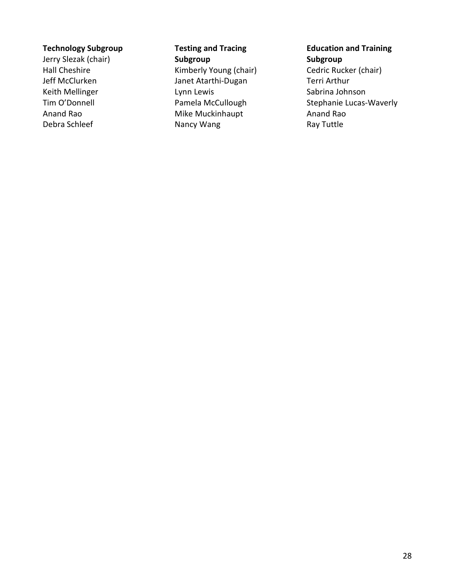### **Technology Subgroup**

<span id="page-28-0"></span>Jerry Slezak (chair) Hall Cheshire Jeff McClurken Keith Mellinger Tim O'Donnell Anand Rao Debra Schleef

**Testing and Tracing Subgroup** Kimberly Young (chair) Janet Atarthi-Dugan Lynn Lewis Pamela McCullough Mike Muckinhaupt Nancy Wang

**Education and Training Subgroup** Cedric Rucker (chair) Terri Arthur

Sabrina Johnson Stephanie Lucas-Waverly Anand Rao Ray Tuttle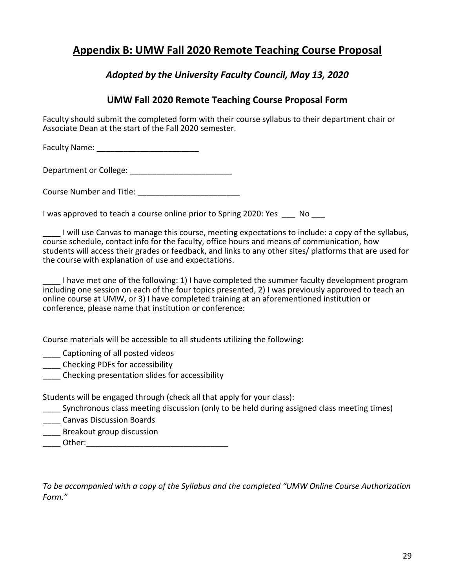## <span id="page-29-0"></span>**Appendix B: UMW Fall 2020 Remote Teaching Course Proposal**

## *Adopted by the University Faculty Council, May 13, 2020*

## **UMW Fall 2020 Remote Teaching Course Proposal Form**

Faculty should submit the completed form with their course syllabus to their department chair or Associate Dean at the start of the Fall 2020 semester.

Faculty Name: \_\_\_\_\_\_\_\_\_\_\_\_\_\_\_\_\_\_\_\_\_\_\_

Department or College: \_\_\_\_\_\_\_\_\_\_\_\_\_\_\_\_\_\_\_\_\_\_\_

Course Number and Title:

I was approved to teach a course online prior to Spring 2020: Yes No

I will use Canvas to manage this course, meeting expectations to include: a copy of the syllabus, course schedule, contact info for the faculty, office hours and means of communication, how students will access their grades or feedback, and links to any other sites/ platforms that are used for the course with explanation of use and expectations.

I have met one of the following: 1) I have completed the summer faculty development program including one session on each of the four topics presented, 2) I was previously approved to teach an online course at UMW, or 3) I have completed training at an aforementioned institution or conference, please name that institution or conference:

Course materials will be accessible to all students utilizing the following:

**Letter** Captioning of all posted videos

\_\_\_\_ Checking PDFs for accessibility

\_\_\_\_ Checking presentation slides for accessibility

Students will be engaged through (check all that apply for your class):

- Synchronous class meeting discussion (only to be held during assigned class meeting times)
- \_\_\_\_ Canvas Discussion Boards
- \_\_\_\_ Breakout group discussion
- Other:

<span id="page-29-1"></span>*To be accompanied with a copy of the Syllabus and the completed "UMW Online Course Authorization Form."*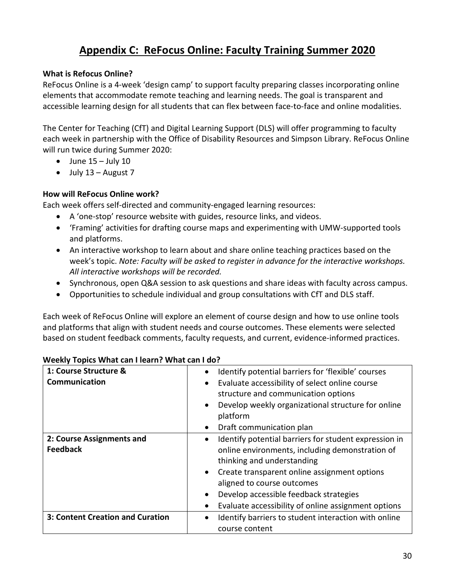## **Appendix C: ReFocus Online: Faculty Training Summer 2020**

### <span id="page-30-0"></span>**What is Refocus Online?**

ReFocus Online is a 4-week 'design camp' to support faculty preparing classes incorporating online elements that accommodate remote teaching and learning needs. The goal is transparent and accessible learning design for all students that can flex between face-to-face and online modalities.

The Center for Teaching (CfT) and Digital Learning Support (DLS) will offer programming to faculty each week in partnership with the Office of Disability Resources and Simpson Library. ReFocus Online will run twice during Summer 2020:

- $\bullet$  June 15 July 10
- $\bullet$  July 13 August 7

## **How will ReFocus Online work?**

Each week offers self-directed and community-engaged learning resources:

- A 'one-stop' resource website with guides, resource links, and videos.
- 'Framing' activities for drafting course maps and experimenting with UMW-supported tools and platforms.
- An interactive workshop to learn about and share online teaching practices based on the week's topic. *Note: Faculty will be asked to register in advance for the interactive workshops. All interactive workshops will be recorded.*
- Synchronous, open Q&A session to ask questions and share ideas with faculty across campus.
- Opportunities to schedule individual and group consultations with CfT and DLS staff.

Each week of ReFocus Online will explore an element of course design and how to use online tools and platforms that align with student needs and course outcomes. These elements were selected based on student feedback comments, faculty requests, and current, evidence-informed practices.

| 1: Course Structure &<br>Communication       | Identify potential barriers for 'flexible' courses<br>٠<br>Evaluate accessibility of select online course<br>structure and communication options<br>Develop weekly organizational structure for online<br>$\bullet$<br>platform<br>Draft communication plan<br>$\bullet$                                                                                     |
|----------------------------------------------|--------------------------------------------------------------------------------------------------------------------------------------------------------------------------------------------------------------------------------------------------------------------------------------------------------------------------------------------------------------|
| 2: Course Assignments and<br><b>Feedback</b> | Identify potential barriers for student expression in<br>$\bullet$<br>online environments, including demonstration of<br>thinking and understanding<br>Create transparent online assignment options<br>$\bullet$<br>aligned to course outcomes<br>Develop accessible feedback strategies<br>$\bullet$<br>Evaluate accessibility of online assignment options |
| 3: Content Creation and Curation             | Identify barriers to student interaction with online<br>course content                                                                                                                                                                                                                                                                                       |

#### **Weekly Topics What can I learn? What can I do?**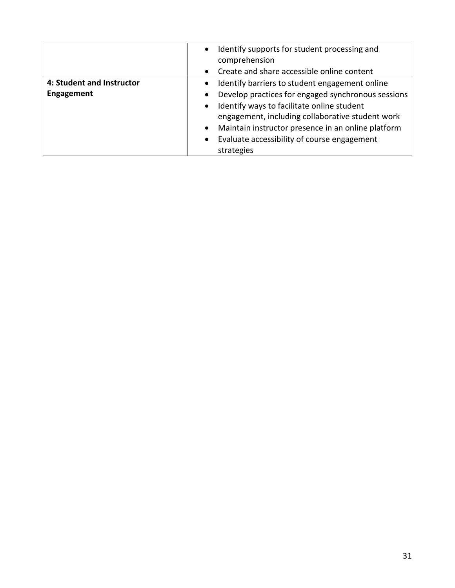|                           | Identify supports for student processing and<br>$\bullet$<br>comprehension<br>Create and share accessible online content                                          |
|---------------------------|-------------------------------------------------------------------------------------------------------------------------------------------------------------------|
| 4: Student and Instructor | Identify barriers to student engagement online                                                                                                                    |
| Engagement                | Develop practices for engaged synchronous sessions                                                                                                                |
|                           | Identify ways to facilitate online student<br>engagement, including collaborative student work<br>Maintain instructor presence in an online platform<br>$\bullet$ |
|                           | Evaluate accessibility of course engagement                                                                                                                       |
|                           | strategies                                                                                                                                                        |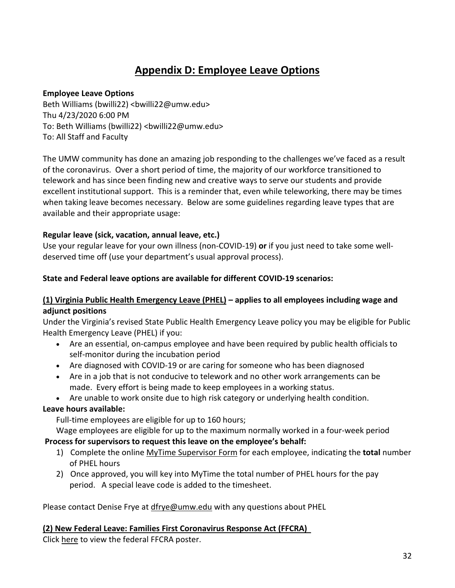## **Appendix D: Employee Leave Options**

### <span id="page-32-0"></span>**Employee Leave Options**

Beth Williams (bwilli22) <br/>bwilli22@umw.edu> Thu 4/23/2020 6:00 PM To: Beth Williams (bwilli22) <br/>bwilli22@umw.edu> To: All Staff and Faculty

The UMW community has done an amazing job responding to the challenges we've faced as a result of the coronavirus. Over a short period of time, the majority of our workforce transitioned to telework and has since been finding new and creative ways to serve our students and provide excellent institutional support. This is a reminder that, even while teleworking, there may be times when taking leave becomes necessary. Below are some guidelines regarding leave types that are available and their appropriate usage:

## **Regular leave (sick, vacation, annual leave, etc.)**

Use your regular leave for your own illness (non-COVID-19) **or** if you just need to take some welldeserved time off (use your department's usual approval process).

#### **State and Federal leave options are available for different COVID-19 scenarios:**

## **(1) Virginia Public Health Emergency Leave (PHEL) – applies to all employees including wage and adjunct positions**

Under the Virginia's revised State Public Health Emergency Leave policy you may be eligible for Public Health Emergency Leave (PHEL) if you:

- Are an essential, on-campus employee and have been required by public health officials to self-monitor during the incubation period
- Are diagnosed with COVID-19 or are caring for someone who has been diagnosed
- Are in a job that is not conducive to telework and no other work arrangements can be made. Every effort is being made to keep employees in a working status.
- Are unable to work onsite due to high risk category or underlying health condition.

## **Leave hours available:**

Full-time employees are eligible for up to 160 hours;

Wage employees are eligible for up to the maximum normally worked in a four-week period **Process for supervisors to request this leave on the employee's behalf:**

- 1) Complete the online [MyTime Supervisor Form](https://adminfinance.umw.edu/payroll/mytime-supervisor-request-form/) for each employee, indicating the **total** number of PHEL hours
- 2) Once approved, you will key into MyTime the total number of PHEL hours for the pay period. A special leave code is added to the timesheet.

Please contact Denise Frye at [dfrye@umw.edu](mailto:dfrye@umw.edu) with any questions about PHEL

## **(2) New Federal Leave: Families First Coronavirus Response Act (FFCRA)**

Click [here](https://secure-web.cisco.com/1zmA0u0uU6jvvq7MpFhtnuX_ujykn1MOHQ66KNz_ygj9D-IMKkUkzsVybIggxefmYiXuU6nwV4w-rlOOJlT4hxAyx3nKXHupb01ytUa52zaNUKFgNEupx7I4nQIEX7p1ZOv7hZr_gh9gJs4alg5_9CDENmcdGqIn-Ehzkc62h8wXduKadajlFlwRsSTbLMq6O_nh11dVtE1l2uGl0PlTcZ2OtGXCxkO9V8r-ytyYJnmIA3U_xO0Q-lEcFjTzQYtB03nyEBzOG2hGNVRofPNGaKEK_m8zQZlK3fK296mxUsy8fxtr4j26PQXESk27a4EroZP3kmJXGg_fBvnFVD3t2Vg/https%3A%2F%2Fwww.dol.gov%2Fsites%2Fdolgov%2Ffiles%2FWHD%2Fposters%2FFFCRA_Poster_WH1422_Non-Federal.pdf) to view the federal FFCRA poster.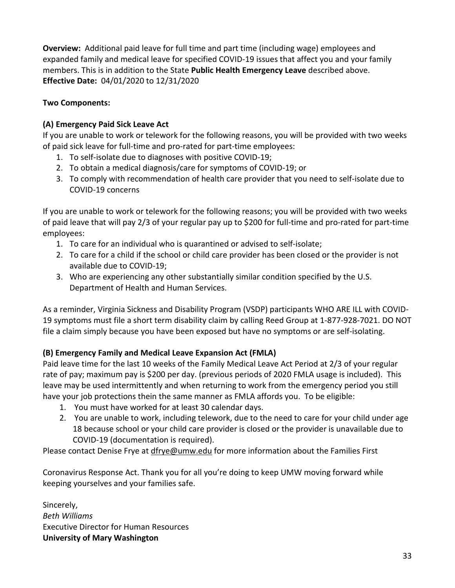**Overview:** Additional paid leave for full time and part time (including wage) employees and expanded family and medical leave for specified COVID-19 issues that affect you and your family members. This is in addition to the State **Public Health Emergency Leave** described above. **Effective Date:** 04/01/2020 to 12/31/2020

## **Two Components:**

## **(A) Emergency Paid Sick Leave Act**

If you are unable to work or telework for the following reasons, you will be provided with two weeks of paid sick leave for full-time and pro-rated for part-time employees:

- 1. To self-isolate due to diagnoses with positive COVID-19;
- 2. To obtain a medical diagnosis/care for symptoms of COVID-19; or
- 3. To comply with recommendation of health care provider that you need to self-isolate due to COVID-19 concerns

If you are unable to work or telework for the following reasons; you will be provided with two weeks of paid leave that will pay 2/3 of your regular pay up to \$200 for full-time and pro-rated for part-time employees:

- 1. To care for an individual who is quarantined or advised to self-isolate;
- 2. To care for a child if the school or child care provider has been closed or the provider is not available due to COVID-19;
- 3. Who are experiencing any other substantially similar condition specified by the U.S. Department of Health and Human Services.

As a reminder, Virginia Sickness and Disability Program (VSDP) participants WHO ARE ILL with COVID-19 symptoms must file a short term disability claim by calling Reed Group at 1-877-928-7021. DO NOT file a claim simply because you have been exposed but have no symptoms or are self-isolating.

## **(B) Emergency Family and Medical Leave Expansion Act (FMLA)**

Paid leave time for the last 10 weeks of the Family Medical Leave Act Period at 2/3 of your regular rate of pay; maximum pay is \$200 per day. (previous periods of 2020 FMLA usage is included). This leave may be used intermittently and when returning to work from the emergency period you still have your job protections thein the same manner as FMLA affords you. To be eligible:

- 1. You must have worked for at least 30 calendar days.
- 2. You are unable to work, including telework, due to the need to care for your child under age 18 because school or your child care provider is closed or the provider is unavailable due to COVID-19 (documentation is required).

Please contact Denise Frye at [dfrye@umw.edu](mailto:dfrye@umw.edu) for more information about the Families First

Coronavirus Response Act. Thank you for all you're doing to keep UMW moving forward while keeping yourselves and your families safe.

Sincerely, *Beth Williams* Executive Director for Human Resources **University of Mary Washington**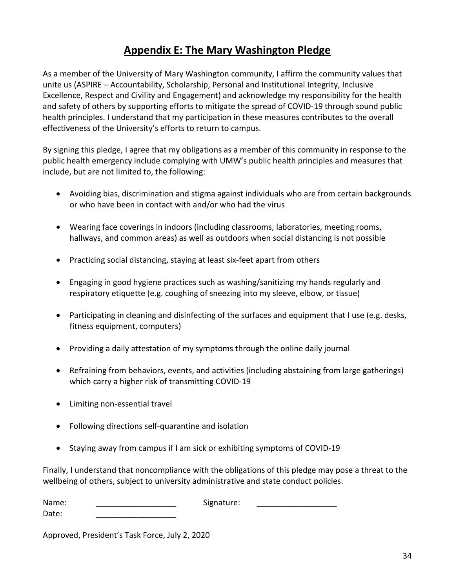## **Appendix E: The Mary Washington Pledge**

<span id="page-34-0"></span>As a member of the University of Mary Washington community, I affirm the community values that unite us (ASPIRE – Accountability, Scholarship, Personal and Institutional Integrity, Inclusive Excellence, Respect and Civility and Engagement) and acknowledge my responsibility for the health and safety of others by supporting efforts to mitigate the spread of COVID-19 through sound public health principles. I understand that my participation in these measures contributes to the overall effectiveness of the University's efforts to return to campus.

By signing this pledge, I agree that my obligations as a member of this community in response to the public health emergency include complying with UMW's public health principles and measures that include, but are not limited to, the following:

- Avoiding bias, discrimination and stigma against individuals who are from certain backgrounds or who have been in contact with and/or who had the virus
- Wearing face coverings in indoors (including classrooms, laboratories, meeting rooms, hallways, and common areas) as well as outdoors when social distancing is not possible
- Practicing social distancing, staying at least six-feet apart from others
- Engaging in good hygiene practices such as washing/sanitizing my hands regularly and respiratory etiquette (e.g. coughing of sneezing into my sleeve, elbow, or tissue)
- Participating in cleaning and disinfecting of the surfaces and equipment that I use (e.g. desks, fitness equipment, computers)
- Providing a daily attestation of my symptoms through the online daily journal
- Refraining from behaviors, events, and activities (including abstaining from large gatherings) which carry a higher risk of transmitting COVID-19
- Limiting non-essential travel
- Following directions self-quarantine and isolation
- Staying away from campus if I am sick or exhibiting symptoms of COVID-19

Finally, I understand that noncompliance with the obligations of this pledge may pose a threat to the wellbeing of others, subject to university administrative and state conduct policies.

| Name: | Signature: |  |
|-------|------------|--|
| Date: |            |  |

Approved, President's Task Force, July 2, 2020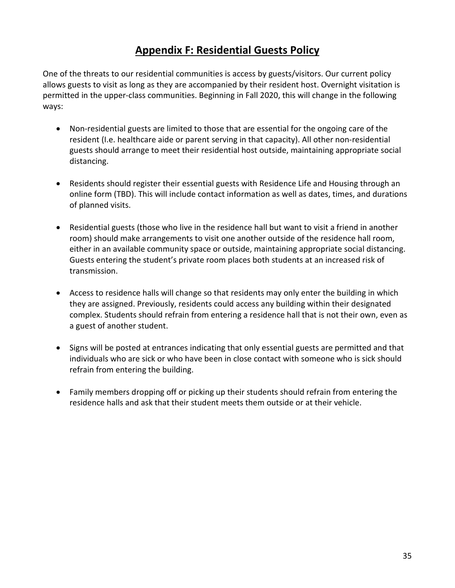## **Appendix F: Residential Guests Policy**

<span id="page-35-0"></span>One of the threats to our residential communities is access by guests/visitors. Our current policy allows guests to visit as long as they are accompanied by their resident host. Overnight visitation is permitted in the upper-class communities. Beginning in Fall 2020, this will change in the following ways:

- Non-residential guests are limited to those that are essential for the ongoing care of the resident (I.e. healthcare aide or parent serving in that capacity). All other non-residential guests should arrange to meet their residential host outside, maintaining appropriate social distancing.
- Residents should register their essential guests with Residence Life and Housing through an online form (TBD). This will include contact information as well as dates, times, and durations of planned visits.
- Residential guests (those who live in the residence hall but want to visit a friend in another room) should make arrangements to visit one another outside of the residence hall room, either in an available community space or outside, maintaining appropriate social distancing. Guests entering the student's private room places both students at an increased risk of transmission.
- Access to residence halls will change so that residents may only enter the building in which they are assigned. Previously, residents could access any building within their designated complex. Students should refrain from entering a residence hall that is not their own, even as a guest of another student.
- Signs will be posted at entrances indicating that only essential guests are permitted and that individuals who are sick or who have been in close contact with someone who is sick should refrain from entering the building.
- Family members dropping off or picking up their students should refrain from entering the residence halls and ask that their student meets them outside or at their vehicle.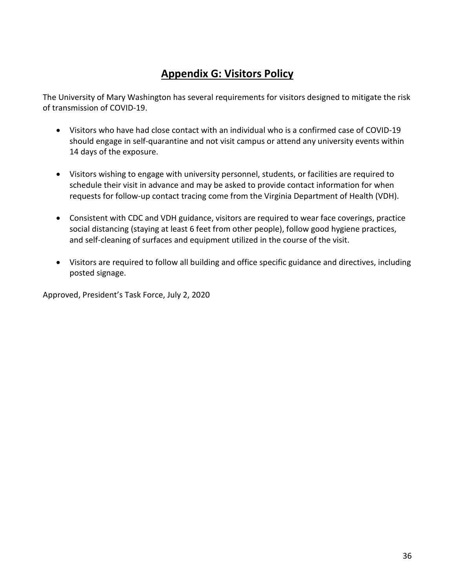## **Appendix G: Visitors Policy**

<span id="page-36-0"></span>The University of Mary Washington has several requirements for visitors designed to mitigate the risk of transmission of COVID-19.

- Visitors who have had close contact with an individual who is a confirmed case of COVID-19 should engage in self-quarantine and not visit campus or attend any university events within 14 days of the exposure.
- Visitors wishing to engage with university personnel, students, or facilities are required to schedule their visit in advance and may be asked to provide contact information for when requests for follow-up contact tracing come from the Virginia Department of Health (VDH).
- Consistent with CDC and VDH guidance, visitors are required to wear face coverings, practice social distancing (staying at least 6 feet from other people), follow good hygiene practices, and self-cleaning of surfaces and equipment utilized in the course of the visit.
- Visitors are required to follow all building and office specific guidance and directives, including posted signage.

<span id="page-36-1"></span>Approved, President's Task Force, July 2, 2020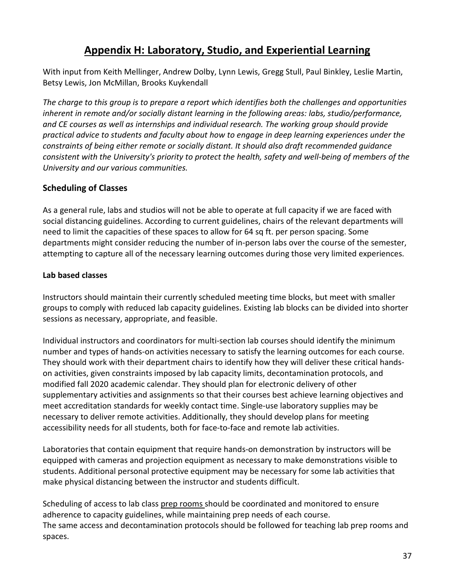## **Appendix H: Laboratory, Studio, and Experiential Learning**

<span id="page-37-0"></span>With input from Keith Mellinger, Andrew Dolby, Lynn Lewis, Gregg Stull, Paul Binkley, Leslie Martin, Betsy Lewis, Jon McMillan, Brooks Kuykendall

*The charge to this group is to prepare a report which identifies both the challenges and opportunities inherent in remote and/or socially distant learning in the following areas: labs, studio/performance, and CE courses as well as internships and individual research. The working group should provide practical advice to students and faculty about how to engage in deep learning experiences under the constraints of being either remote or socially distant. It should also draft recommended guidance consistent with the University's priority to protect the health, safety and well-being of members of the University and our various communities.*

## <span id="page-37-1"></span>**Scheduling of Classes**

As a general rule, labs and studios will not be able to operate at full capacity if we are faced with social distancing guidelines. According to current guidelines, chairs of the relevant departments will need to limit the capacities of these spaces to allow for 64 sq ft. per person spacing. Some departments might consider reducing the number of in-person labs over the course of the semester, attempting to capture all of the necessary learning outcomes during those very limited experiences.

## **Lab based classes**

Instructors should maintain their currently scheduled meeting time blocks, but meet with smaller groups to comply with reduced lab capacity guidelines. Existing lab blocks can be divided into shorter sessions as necessary, appropriate, and feasible.

Individual instructors and coordinators for multi-section lab courses should identify the minimum number and types of hands-on activities necessary to satisfy the learning outcomes for each course. They should work with their department chairs to identify how they will deliver these critical handson activities, given constraints imposed by lab capacity limits, decontamination protocols, and modified fall 2020 academic calendar. They should plan for electronic delivery of other supplementary activities and assignments so that their courses best achieve learning objectives and meet accreditation standards for weekly contact time. Single-use laboratory supplies may be necessary to deliver remote activities. Additionally, they should develop plans for meeting accessibility needs for all students, both for face-to-face and remote lab activities.

Laboratories that contain equipment that require hands-on demonstration by instructors will be equipped with cameras and projection equipment as necessary to make demonstrations visible to students. Additional personal protective equipment may be necessary for some lab activities that make physical distancing between the instructor and students difficult.

Scheduling of access to lab class prep rooms should be coordinated and monitored to ensure adherence to capacity guidelines, while maintaining prep needs of each course. The same access and decontamination protocols should be followed for teaching lab prep rooms and spaces.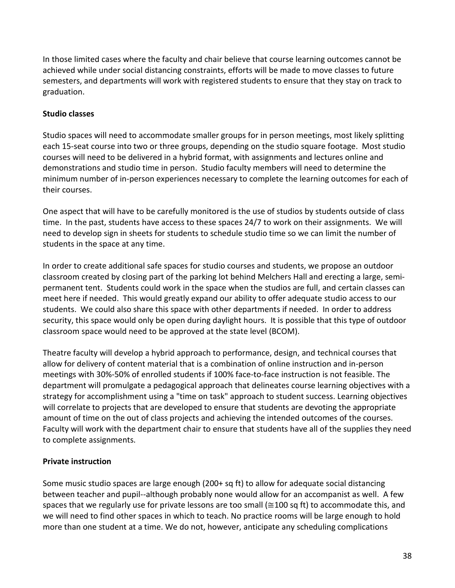In those limited cases where the faculty and chair believe that course learning outcomes cannot be achieved while under social distancing constraints, efforts will be made to move classes to future semesters, and departments will work with registered students to ensure that they stay on track to graduation.

## **Studio classes**

Studio spaces will need to accommodate smaller groups for in person meetings, most likely splitting each 15-seat course into two or three groups, depending on the studio square footage. Most studio courses will need to be delivered in a hybrid format, with assignments and lectures online and demonstrations and studio time in person. Studio faculty members will need to determine the minimum number of in-person experiences necessary to complete the learning outcomes for each of their courses.

One aspect that will have to be carefully monitored is the use of studios by students outside of class time. In the past, students have access to these spaces 24/7 to work on their assignments. We will need to develop sign in sheets for students to schedule studio time so we can limit the number of students in the space at any time.

In order to create additional safe spaces for studio courses and students, we propose an outdoor classroom created by closing part of the parking lot behind Melchers Hall and erecting a large, semipermanent tent. Students could work in the space when the studios are full, and certain classes can meet here if needed. This would greatly expand our ability to offer adequate studio access to our students. We could also share this space with other departments if needed. In order to address security, this space would only be open during daylight hours. It is possible that this type of outdoor classroom space would need to be approved at the state level (BCOM).

Theatre faculty will develop a hybrid approach to performance, design, and technical courses that allow for delivery of content material that is a combination of online instruction and in-person meetings with 30%-50% of enrolled students if 100% face-to-face instruction is not feasible. The department will promulgate a pedagogical approach that delineates course learning objectives with a strategy for accomplishment using a "time on task" approach to student success. Learning objectives will correlate to projects that are developed to ensure that students are devoting the appropriate amount of time on the out of class projects and achieving the intended outcomes of the courses. Faculty will work with the department chair to ensure that students have all of the supplies they need to complete assignments.

## **Private instruction**

Some music studio spaces are large enough (200+ sq ft) to allow for adequate social distancing between teacher and pupil--although probably none would allow for an accompanist as well. A few spaces that we regularly use for private lessons are too small ( $\approx$ 100 sq ft) to accommodate this, and we will need to find other spaces in which to teach. No practice rooms will be large enough to hold more than one student at a time. We do not, however, anticipate any scheduling complications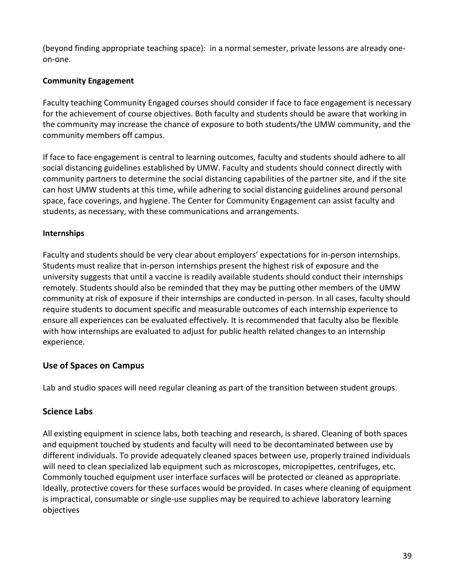(beyond finding appropriate teaching space): in a normal semester, private lessons are already oneon-one.

## **Community Engagement**

Faculty teaching Community Engaged courses should consider if face to face engagement is necessary for the achievement of course objectives. Both faculty and students should be aware that working in the community may increase the chance of exposure to both students/the UMW community, and the community members off campus.

If face to face engagement is central to learning outcomes, faculty and students should adhere to all social distancing guidelines established by UMW. Faculty and students should connect directly with community partners to determine the social distancing capabilities of the partner site, and if the site can host UMW students at this time, while adhering to social distancing guidelines around personal space, face coverings, and hygiene. The Center for Community Engagement can assist faculty and students, as necessary, with these communications and arrangements.

## **Internships**

Faculty and students should be very clear about employers' expectations for in-person internships. Students must realize that in-person internships present the highest risk of exposure and the university suggests that until a vaccine is readily available students should conduct their internships remotely. Students should also be reminded that they may be putting other members of the UMW community at risk of exposure if their internships are conducted in-person. In all cases, faculty should require students to document specific and measurable outcomes of each internship experience to ensure all experiences can be evaluated effectively. It is recommended that faculty also be flexible with how internships are evaluated to adjust for public health related changes to an internship experience.

## <span id="page-39-0"></span>**Use of Spaces on Campus**

Lab and studio spaces will need regular cleaning as part of the transition between student groups.

## <span id="page-39-1"></span>**Science Labs**

All existing equipment in science labs, both teaching and research, is shared. Cleaning of both spaces and equipment touched by students and faculty will need to be decontaminated between use by different individuals. To provide adequately cleaned spaces between use, properly trained individuals will need to clean specialized lab equipment such as microscopes, micropipettes, centrifuges, etc. Commonly touched equipment user interface surfaces will be protected or cleaned as appropriate. Ideally, protective covers for these surfaces would be provided. In cases where cleaning of equipment is impractical, consumable or single-use supplies may be required to achieve laboratory learning objectives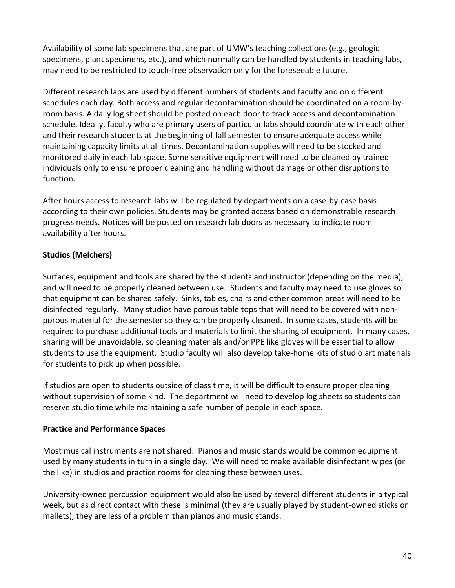Availability of some lab specimens that are part of UMW's teaching collections (e.g., geologic specimens, plant specimens, etc.), and which normally can be handled by students in teaching labs, may need to be restricted to touch-free observation only for the foreseeable future.

Different research labs are used by different numbers of students and faculty and on different schedules each day. Both access and regular decontamination should be coordinated on a room-byroom basis. A daily log sheet should be posted on each door to track access and decontamination schedule. Ideally, faculty who are primary users of particular labs should coordinate with each other and their research students at the beginning of fall semester to ensure adequate access while maintaining capacity limits at all times. Decontamination supplies will need to be stocked and monitored daily in each lab space. Some sensitive equipment will need to be cleaned by trained individuals only to ensure proper cleaning and handling without damage or other disruptions to function.

After hours access to research labs will be regulated by departments on a case-by-case basis according to their own policies. Students may be granted access based on demonstrable research progress needs. Notices will be posted on research lab doors as necessary to indicate room availability after hours.

## **Studios (Melchers)**

Surfaces, equipment and tools are shared by the students and instructor (depending on the media), and will need to be properly cleaned between use. Students and faculty may need to use gloves so that equipment can be shared safely. Sinks, tables, chairs and other common areas will need to be disinfected regularly. Many studios have porous table tops that will need to be covered with nonporous material for the semester so they can be properly cleaned. In some cases, students will be required to purchase additional tools and materials to limit the sharing of equipment. In many cases, sharing will be unavoidable, so cleaning materials and/or PPE like gloves will be essential to allow students to use the equipment. Studio faculty will also develop take-home kits of studio art materials for students to pick up when possible.

If studios are open to students outside of class time, it will be difficult to ensure proper cleaning without supervision of some kind. The department will need to develop log sheets so students can reserve studio time while maintaining a safe number of people in each space.

## **Practice and Performance Spaces**

Most musical instruments are not shared. Pianos and music stands would be common equipment used by many students in turn in a single day. We will need to make available disinfectant wipes (or the like) in studios and practice rooms for cleaning these between uses.

University-owned percussion equipment would also be used by several different students in a typical week, but as direct contact with these is minimal (they are usually played by student-owned sticks or mallets), they are less of a problem than pianos and music stands.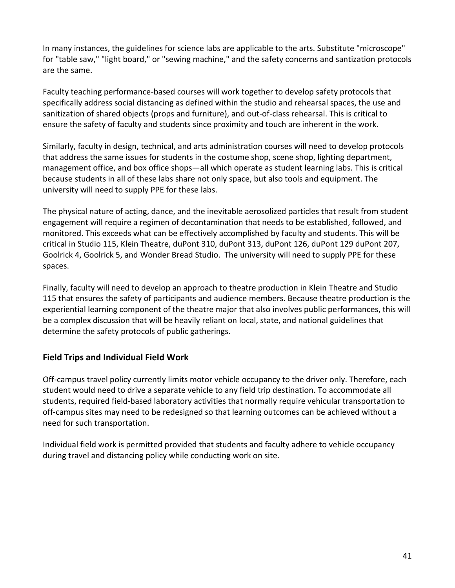In many instances, the guidelines for science labs are applicable to the arts. Substitute "microscope" for "table saw," "light board," or "sewing machine," and the safety concerns and santization protocols are the same.

Faculty teaching performance-based courses will work together to develop safety protocols that specifically address social distancing as defined within the studio and rehearsal spaces, the use and sanitization of shared objects (props and furniture), and out-of-class rehearsal. This is critical to ensure the safety of faculty and students since proximity and touch are inherent in the work.

Similarly, faculty in design, technical, and arts administration courses will need to develop protocols that address the same issues for students in the costume shop, scene shop, lighting department, management office, and box office shops—all which operate as student learning labs. This is critical because students in all of these labs share not only space, but also tools and equipment. The university will need to supply PPE for these labs.

The physical nature of acting, dance, and the inevitable aerosolized particles that result from student engagement will require a regimen of decontamination that needs to be established, followed, and monitored. This exceeds what can be effectively accomplished by faculty and students. This will be critical in Studio 115, Klein Theatre, duPont 310, duPont 313, duPont 126, duPont 129 duPont 207, Goolrick 4, Goolrick 5, and Wonder Bread Studio. The university will need to supply PPE for these spaces.

Finally, faculty will need to develop an approach to theatre production in Klein Theatre and Studio 115 that ensures the safety of participants and audience members. Because theatre production is the experiential learning component of the theatre major that also involves public performances, this will be a complex discussion that will be heavily reliant on local, state, and national guidelines that determine the safety protocols of public gatherings.

## <span id="page-41-0"></span>**Field Trips and Individual Field Work**

Off-campus travel policy currently limits motor vehicle occupancy to the driver only. Therefore, each student would need to drive a separate vehicle to any field trip destination. To accommodate all students, required field-based laboratory activities that normally require vehicular transportation to off-campus sites may need to be redesigned so that learning outcomes can be achieved without a need for such transportation.

<span id="page-41-1"></span>Individual field work is permitted provided that students and faculty adhere to vehicle occupancy during travel and distancing policy while conducting work on site.